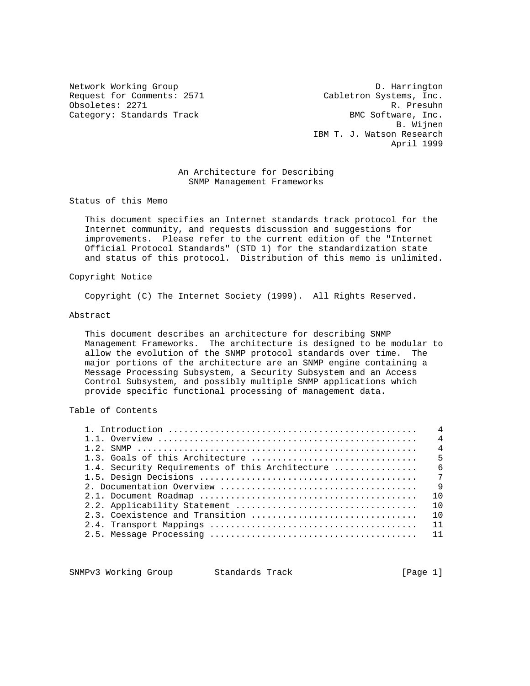Request for Comments: 2571 Cabletron Systems, Inc. Obsoletes: 2271 R. Presuhn Category: Standards Track

Network Working Group D. Harrington B. Wijnen IBM T. J. Watson Research April 1999

#### An Architecture for Describing SNMP Management Frameworks

Status of this Memo

 This document specifies an Internet standards track protocol for the Internet community, and requests discussion and suggestions for improvements. Please refer to the current edition of the "Internet Official Protocol Standards" (STD 1) for the standardization state and status of this protocol. Distribution of this memo is unlimited.

#### Copyright Notice

Copyright (C) The Internet Society (1999). All Rights Reserved.

#### Abstract

 This document describes an architecture for describing SNMP Management Frameworks. The architecture is designed to be modular to allow the evolution of the SNMP protocol standards over time. The major portions of the architecture are an SNMP engine containing a Message Processing Subsystem, a Security Subsystem and an Access Control Subsystem, and possibly multiple SNMP applications which provide specific functional processing of management data.

#### Table of Contents

|                                                 | $\overline{4}$  |
|-------------------------------------------------|-----------------|
|                                                 | $\overline{4}$  |
| 1.3. Goals of this Architecture                 | 5               |
| 1.4. Security Requirements of this Architecture | - 6             |
|                                                 | $7\overline{ }$ |
|                                                 | $\mathsf{Q}$    |
|                                                 | 1 N             |
|                                                 | 1 N             |
| 2.3. Coexistence and Transition                 | 1 N             |
|                                                 | 11              |
|                                                 |                 |
|                                                 |                 |

SNMPv3 Working Group Standards Track [Page 1]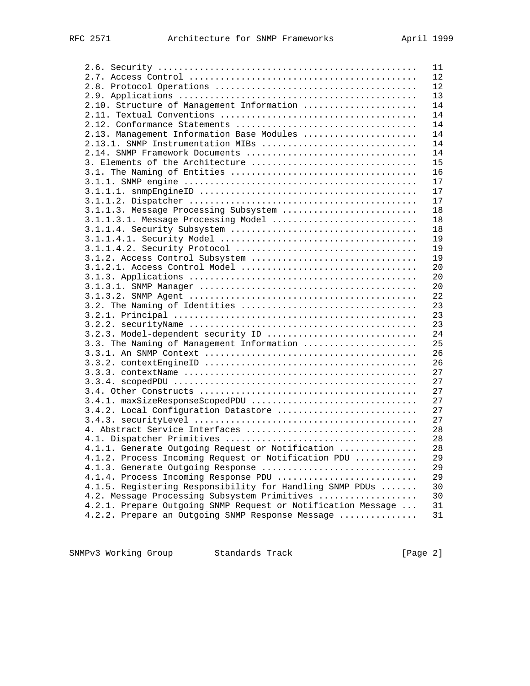|                                                              | 11 |
|--------------------------------------------------------------|----|
|                                                              | 12 |
|                                                              | 12 |
|                                                              | 13 |
| 2.10. Structure of Management Information                    | 14 |
|                                                              | 14 |
|                                                              | 14 |
| 2.13. Management Information Base Modules                    | 14 |
| 2.13.1. SNMP Instrumentation MIBs                            | 14 |
| 2.14. SNMP Framework Documents                               | 14 |
| 3. Elements of the Architecture                              | 15 |
|                                                              | 16 |
|                                                              | 17 |
|                                                              | 17 |
|                                                              |    |
|                                                              | 17 |
| 3.1.1.3. Message Processing Subsystem                        | 18 |
| 3.1.1.3.1. Message Processing Model                          | 18 |
|                                                              | 18 |
|                                                              | 19 |
|                                                              | 19 |
| 3.1.2. Access Control Subsystem                              | 19 |
| 3.1.2.1. Access Control Model                                | 20 |
|                                                              | 20 |
|                                                              | 20 |
|                                                              | 22 |
|                                                              | 23 |
|                                                              | 23 |
|                                                              | 23 |
| 3.2.3. Model-dependent security ID                           | 24 |
| 3.3. The Naming of Management Information                    | 25 |
|                                                              | 26 |
|                                                              | 26 |
|                                                              | 27 |
|                                                              | 27 |
|                                                              | 27 |
| 3.4.1. maxSizeResponseScopedPDU                              | 27 |
| 3.4.2. Local Configuration Datastore                         | 27 |
|                                                              | 27 |
|                                                              | 28 |
| 4. Abstract Service Interfaces                               |    |
|                                                              | 28 |
| 4.1.1. Generate Outgoing Request or Notification             | 28 |
| 4.1.2. Process Incoming Request or Notification PDU          | 29 |
| 4.1.3. Generate Outgoing Response                            | 29 |
| 4.1.4. Process Incoming Response PDU                         | 29 |
| 4.1.5. Registering Responsibility for Handling SNMP PDUs     | 30 |
| 4.2. Message Processing Subsystem Primitives                 | 30 |
| 4.2.1. Prepare Outgoing SNMP Request or Notification Message | 31 |
| 4.2.2. Prepare an Outgoing SNMP Response Message             | 31 |

SNMPv3 Working Group Standards Track [Page 2]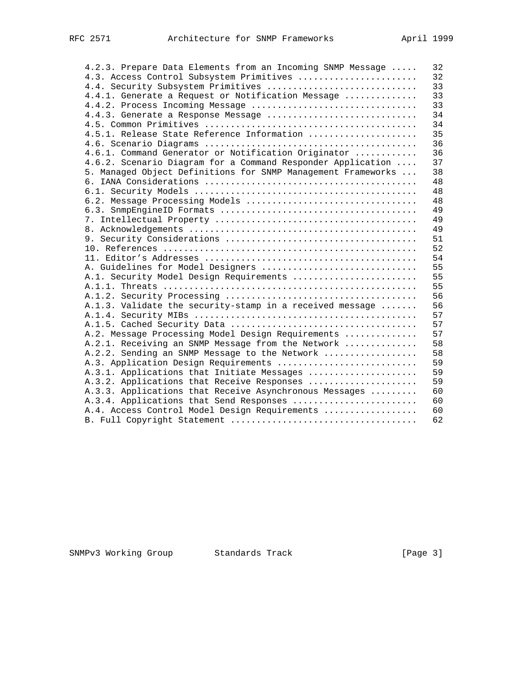| 4.2.3. Prepare Data Elements from an Incoming SNMP Message   | 32 |
|--------------------------------------------------------------|----|
| 4.3. Access Control Subsystem Primitives                     | 32 |
| 4.4. Security Subsystem Primitives                           | 33 |
| 4.4.1. Generate a Request or Notification Message            | 33 |
| 4.4.2. Process Incoming Message                              | 33 |
| 4.4.3. Generate a Response Message                           | 34 |
|                                                              | 34 |
| 4.5.1. Release State Reference Information                   | 35 |
|                                                              | 36 |
| 4.6.1. Command Generator or Notification Originator          | 36 |
|                                                              | 37 |
| 4.6.2. Scenario Diagram for a Command Responder Application  |    |
| 5. Managed Object Definitions for SNMP Management Frameworks | 38 |
|                                                              | 48 |
|                                                              | 48 |
| 6.2. Message Processing Models                               | 48 |
|                                                              | 49 |
|                                                              | 49 |
|                                                              | 49 |
|                                                              | 51 |
|                                                              | 52 |
|                                                              | 54 |
| A. Guidelines for Model Designers                            | 55 |
| A.1. Security Model Design Requirements                      | 55 |
|                                                              | 55 |
|                                                              | 56 |
| A.1.3. Validate the security-stamp in a received message     | 56 |
|                                                              | 57 |
|                                                              | 57 |
| A.2. Message Processing Model Design Requirements            | 57 |
| A.2.1. Receiving an SNMP Message from the Network            | 58 |
| A.2.2. Sending an SNMP Message to the Network                | 58 |
| A.3. Application Design Requirements                         | 59 |
| A.3.1. Applications that Initiate Messages                   | 59 |
| A.3.2. Applications that Receive Responses                   | 59 |
| A.3.3. Applications that Receive Asynchronous Messages       | 60 |
| A.3.4. Applications that Send Responses                      | 60 |
| A.4. Access Control Model Design Requirements                | 60 |
|                                                              | 62 |
|                                                              |    |

SNMPv3 Working Group Standards Track [Page 3]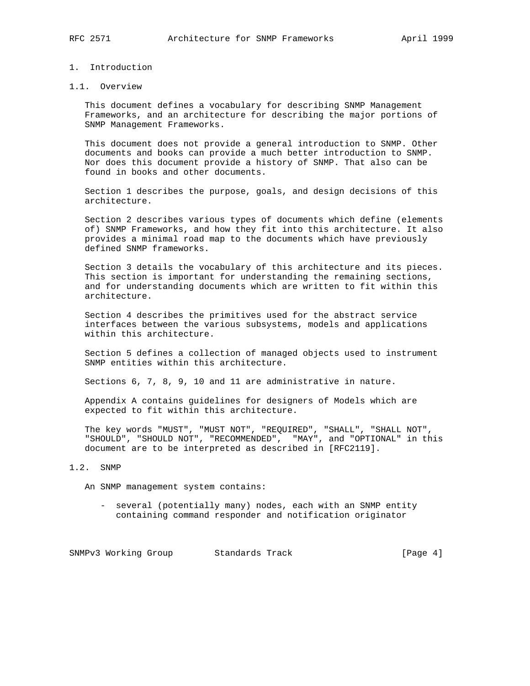#### 1. Introduction

#### 1.1. Overview

 This document defines a vocabulary for describing SNMP Management Frameworks, and an architecture for describing the major portions of SNMP Management Frameworks.

 This document does not provide a general introduction to SNMP. Other documents and books can provide a much better introduction to SNMP. Nor does this document provide a history of SNMP. That also can be found in books and other documents.

 Section 1 describes the purpose, goals, and design decisions of this architecture.

 Section 2 describes various types of documents which define (elements of) SNMP Frameworks, and how they fit into this architecture. It also provides a minimal road map to the documents which have previously defined SNMP frameworks.

 Section 3 details the vocabulary of this architecture and its pieces. This section is important for understanding the remaining sections, and for understanding documents which are written to fit within this architecture.

 Section 4 describes the primitives used for the abstract service interfaces between the various subsystems, models and applications within this architecture.

 Section 5 defines a collection of managed objects used to instrument SNMP entities within this architecture.

Sections 6, 7, 8, 9, 10 and 11 are administrative in nature.

 Appendix A contains guidelines for designers of Models which are expected to fit within this architecture.

 The key words "MUST", "MUST NOT", "REQUIRED", "SHALL", "SHALL NOT", "SHOULD", "SHOULD NOT", "RECOMMENDED", "MAY", and "OPTIONAL" in this document are to be interpreted as described in [RFC2119].

#### 1.2. SNMP

An SNMP management system contains:

 - several (potentially many) nodes, each with an SNMP entity containing command responder and notification originator

SNMPv3 Working Group Standards Track [Page 4]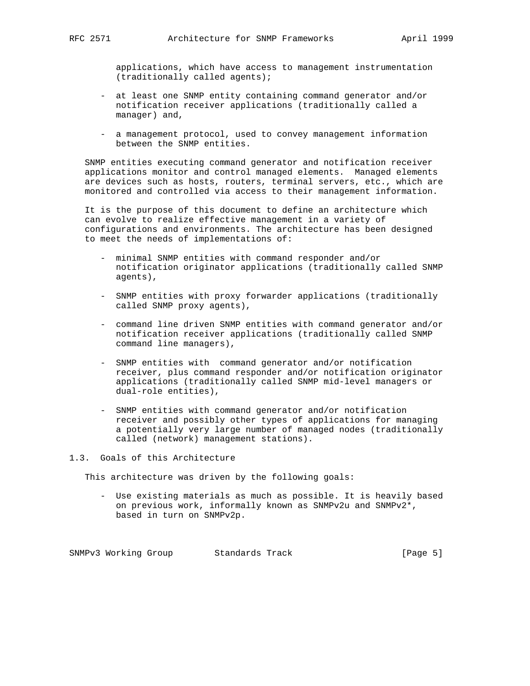applications, which have access to management instrumentation (traditionally called agents);

- at least one SNMP entity containing command generator and/or notification receiver applications (traditionally called a manager) and,
- a management protocol, used to convey management information between the SNMP entities.

 SNMP entities executing command generator and notification receiver applications monitor and control managed elements. Managed elements are devices such as hosts, routers, terminal servers, etc., which are monitored and controlled via access to their management information.

 It is the purpose of this document to define an architecture which can evolve to realize effective management in a variety of configurations and environments. The architecture has been designed to meet the needs of implementations of:

- minimal SNMP entities with command responder and/or notification originator applications (traditionally called SNMP agents),
- SNMP entities with proxy forwarder applications (traditionally called SNMP proxy agents),
- command line driven SNMP entities with command generator and/or notification receiver applications (traditionally called SNMP command line managers),
- SNMP entities with command generator and/or notification receiver, plus command responder and/or notification originator applications (traditionally called SNMP mid-level managers or dual-role entities),
- SNMP entities with command generator and/or notification receiver and possibly other types of applications for managing a potentially very large number of managed nodes (traditionally called (network) management stations).

1.3. Goals of this Architecture

This architecture was driven by the following goals:

 - Use existing materials as much as possible. It is heavily based on previous work, informally known as SNMPv2u and SNMPv2\*, based in turn on SNMPv2p.

SNMPv3 Working Group Standards Track [Page 5]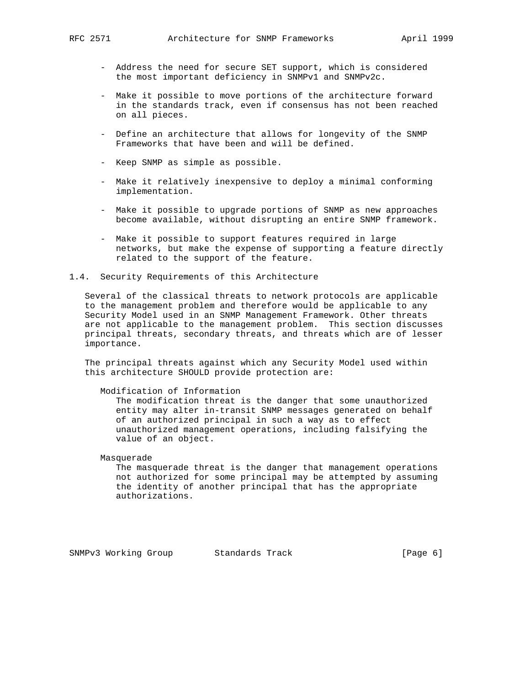- Address the need for secure SET support, which is considered the most important deficiency in SNMPv1 and SNMPv2c.
- Make it possible to move portions of the architecture forward in the standards track, even if consensus has not been reached on all pieces.
- Define an architecture that allows for longevity of the SNMP Frameworks that have been and will be defined.
- Keep SNMP as simple as possible.
- Make it relatively inexpensive to deploy a minimal conforming implementation.
- Make it possible to upgrade portions of SNMP as new approaches become available, without disrupting an entire SNMP framework.
- Make it possible to support features required in large networks, but make the expense of supporting a feature directly related to the support of the feature.
- 1.4. Security Requirements of this Architecture

 Several of the classical threats to network protocols are applicable to the management problem and therefore would be applicable to any Security Model used in an SNMP Management Framework. Other threats are not applicable to the management problem. This section discusses principal threats, secondary threats, and threats which are of lesser importance.

 The principal threats against which any Security Model used within this architecture SHOULD provide protection are:

#### Modification of Information

 The modification threat is the danger that some unauthorized entity may alter in-transit SNMP messages generated on behalf of an authorized principal in such a way as to effect unauthorized management operations, including falsifying the value of an object.

Masquerade

 The masquerade threat is the danger that management operations not authorized for some principal may be attempted by assuming the identity of another principal that has the appropriate authorizations.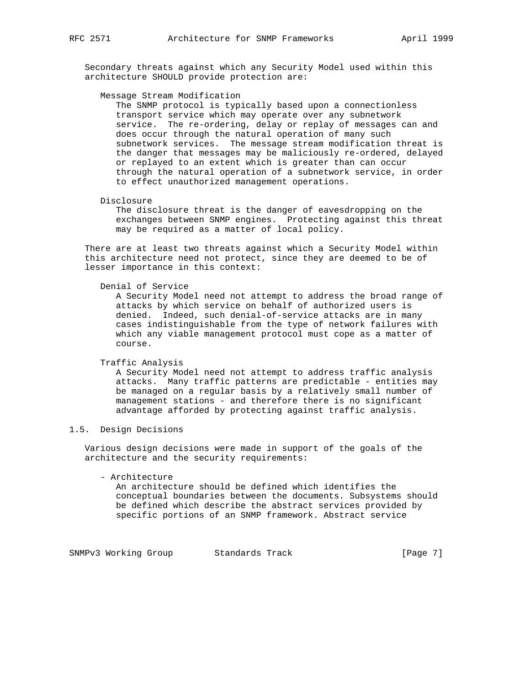Secondary threats against which any Security Model used within this architecture SHOULD provide protection are:

#### Message Stream Modification

 The SNMP protocol is typically based upon a connectionless transport service which may operate over any subnetwork service. The re-ordering, delay or replay of messages can and does occur through the natural operation of many such subnetwork services. The message stream modification threat is the danger that messages may be maliciously re-ordered, delayed or replayed to an extent which is greater than can occur through the natural operation of a subnetwork service, in order to effect unauthorized management operations.

#### Disclosure

 The disclosure threat is the danger of eavesdropping on the exchanges between SNMP engines. Protecting against this threat may be required as a matter of local policy.

 There are at least two threats against which a Security Model within this architecture need not protect, since they are deemed to be of lesser importance in this context:

#### Denial of Service

 A Security Model need not attempt to address the broad range of attacks by which service on behalf of authorized users is denied. Indeed, such denial-of-service attacks are in many cases indistinguishable from the type of network failures with which any viable management protocol must cope as a matter of course.

#### Traffic Analysis

 A Security Model need not attempt to address traffic analysis attacks. Many traffic patterns are predictable - entities may be managed on a regular basis by a relatively small number of management stations - and therefore there is no significant advantage afforded by protecting against traffic analysis.

#### 1.5. Design Decisions

 Various design decisions were made in support of the goals of the architecture and the security requirements:

#### - Architecture

 An architecture should be defined which identifies the conceptual boundaries between the documents. Subsystems should be defined which describe the abstract services provided by specific portions of an SNMP framework. Abstract service

SNMPv3 Working Group Standards Track [Page 7]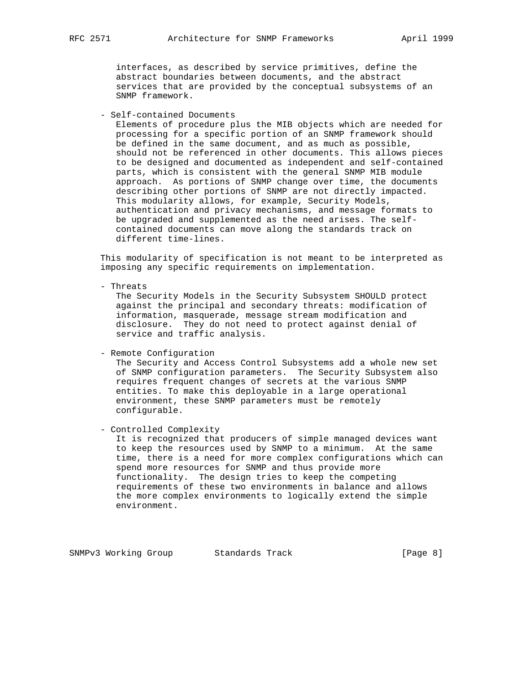interfaces, as described by service primitives, define the abstract boundaries between documents, and the abstract services that are provided by the conceptual subsystems of an SNMP framework.

- Self-contained Documents

 Elements of procedure plus the MIB objects which are needed for processing for a specific portion of an SNMP framework should be defined in the same document, and as much as possible, should not be referenced in other documents. This allows pieces to be designed and documented as independent and self-contained parts, which is consistent with the general SNMP MIB module approach. As portions of SNMP change over time, the documents describing other portions of SNMP are not directly impacted. This modularity allows, for example, Security Models, authentication and privacy mechanisms, and message formats to be upgraded and supplemented as the need arises. The self contained documents can move along the standards track on different time-lines.

 This modularity of specification is not meant to be interpreted as imposing any specific requirements on implementation.

- Threats

 The Security Models in the Security Subsystem SHOULD protect against the principal and secondary threats: modification of information, masquerade, message stream modification and disclosure. They do not need to protect against denial of service and traffic analysis.

- Remote Configuration

 The Security and Access Control Subsystems add a whole new set of SNMP configuration parameters. The Security Subsystem also requires frequent changes of secrets at the various SNMP entities. To make this deployable in a large operational environment, these SNMP parameters must be remotely configurable.

- Controlled Complexity

 It is recognized that producers of simple managed devices want to keep the resources used by SNMP to a minimum. At the same time, there is a need for more complex configurations which can spend more resources for SNMP and thus provide more functionality. The design tries to keep the competing requirements of these two environments in balance and allows the more complex environments to logically extend the simple environment.

SNMPv3 Working Group Standards Track [Page 8]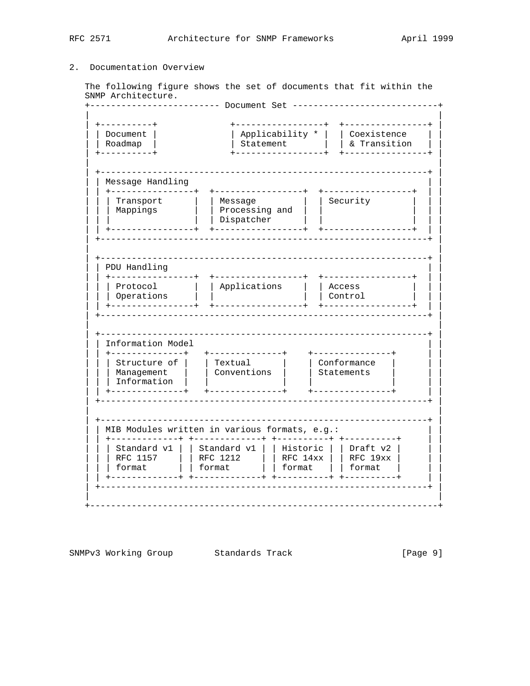#### 2. Documentation Overview

The following figure shows the set of documents that fit within the SNMP Architecture.

+------------------------ Document Set ----------------------------+ +----------+ | Applicability \* | | Coexistence |<br>| Statement | | | & Transition | Document | ------------| Message Handling +-----------------+ Transport | | Message | | Security<br>| Mappings | | | Processing and | |<br>| | Dispatcher | | PDU Handling +------------------ $\begin{array}{c|c|c|c|c} \text{Protocol} & & \text{Applications} & & \text{Access} \\ \text{Operations} & & \text{I} & & \text{Control} \\ \end{array}$ Information Model |<br>| Structure of | | Textual | | | Conformance |<br>| Management | | Conventions | | Statements | | Management | | Information | | +--------------+ +--------------+ +---------------+ MIB Modules written in various formats, e.g.: | Standard v1 | | Standard v1 | | Historic | | Draft v2 |<br>| RFC 1157 | | RFC 1212 | | RFC 14xx | | RFC 19xx | | format | format | format | | | format 

SNMPv3 Working Group Standards Track  $[Page 9]$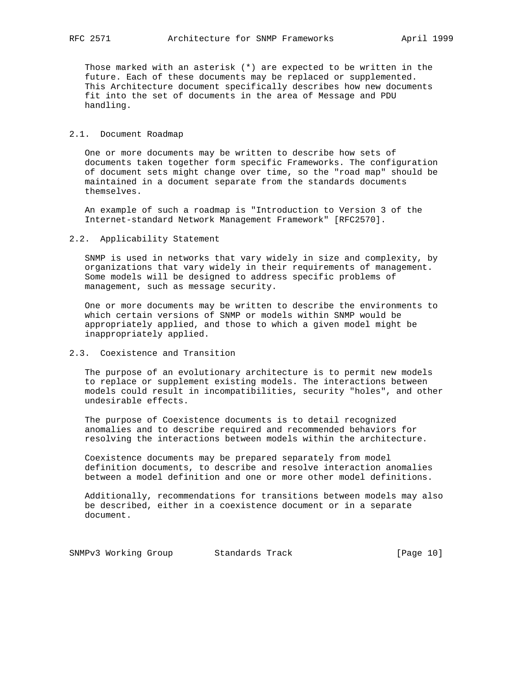Those marked with an asterisk (\*) are expected to be written in the future. Each of these documents may be replaced or supplemented. This Architecture document specifically describes how new documents fit into the set of documents in the area of Message and PDU handling.

#### 2.1. Document Roadmap

 One or more documents may be written to describe how sets of documents taken together form specific Frameworks. The configuration of document sets might change over time, so the "road map" should be maintained in a document separate from the standards documents themselves.

 An example of such a roadmap is "Introduction to Version 3 of the Internet-standard Network Management Framework" [RFC2570].

#### 2.2. Applicability Statement

 SNMP is used in networks that vary widely in size and complexity, by organizations that vary widely in their requirements of management. Some models will be designed to address specific problems of management, such as message security.

 One or more documents may be written to describe the environments to which certain versions of SNMP or models within SNMP would be appropriately applied, and those to which a given model might be inappropriately applied.

#### 2.3. Coexistence and Transition

 The purpose of an evolutionary architecture is to permit new models to replace or supplement existing models. The interactions between models could result in incompatibilities, security "holes", and other undesirable effects.

 The purpose of Coexistence documents is to detail recognized anomalies and to describe required and recommended behaviors for resolving the interactions between models within the architecture.

 Coexistence documents may be prepared separately from model definition documents, to describe and resolve interaction anomalies between a model definition and one or more other model definitions.

 Additionally, recommendations for transitions between models may also be described, either in a coexistence document or in a separate document.

SNMPv3 Working Group Standards Track [Page 10]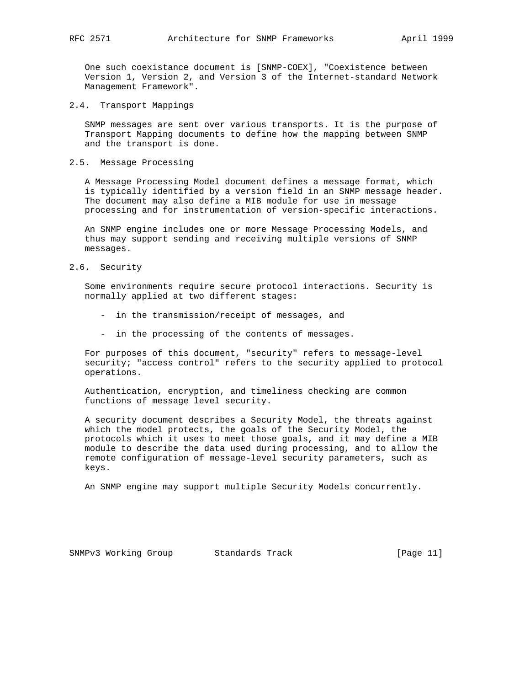One such coexistance document is [SNMP-COEX], "Coexistence between Version 1, Version 2, and Version 3 of the Internet-standard Network Management Framework".

2.4. Transport Mappings

 SNMP messages are sent over various transports. It is the purpose of Transport Mapping documents to define how the mapping between SNMP and the transport is done.

2.5. Message Processing

 A Message Processing Model document defines a message format, which is typically identified by a version field in an SNMP message header. The document may also define a MIB module for use in message processing and for instrumentation of version-specific interactions.

 An SNMP engine includes one or more Message Processing Models, and thus may support sending and receiving multiple versions of SNMP messages.

2.6. Security

 Some environments require secure protocol interactions. Security is normally applied at two different stages:

- in the transmission/receipt of messages, and
- in the processing of the contents of messages.

 For purposes of this document, "security" refers to message-level security; "access control" refers to the security applied to protocol operations.

 Authentication, encryption, and timeliness checking are common functions of message level security.

 A security document describes a Security Model, the threats against which the model protects, the goals of the Security Model, the protocols which it uses to meet those goals, and it may define a MIB module to describe the data used during processing, and to allow the remote configuration of message-level security parameters, such as keys.

An SNMP engine may support multiple Security Models concurrently.

SNMPv3 Working Group Standards Track [Page 11]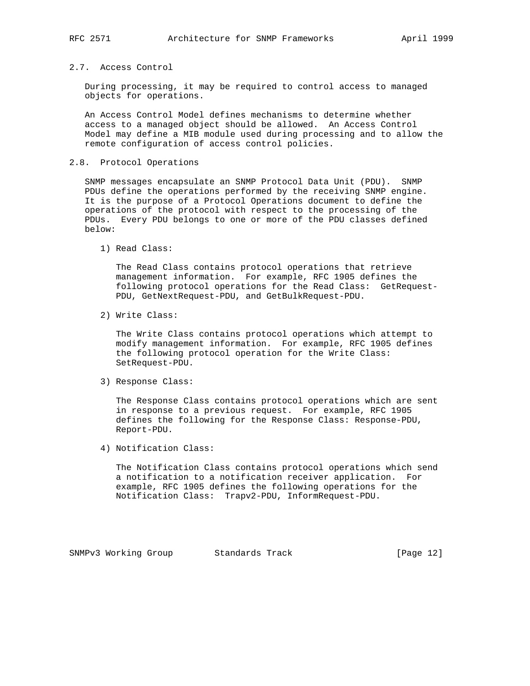#### 2.7. Access Control

 During processing, it may be required to control access to managed objects for operations.

 An Access Control Model defines mechanisms to determine whether access to a managed object should be allowed. An Access Control Model may define a MIB module used during processing and to allow the remote configuration of access control policies.

#### 2.8. Protocol Operations

 SNMP messages encapsulate an SNMP Protocol Data Unit (PDU). SNMP PDUs define the operations performed by the receiving SNMP engine. It is the purpose of a Protocol Operations document to define the operations of the protocol with respect to the processing of the PDUs. Every PDU belongs to one or more of the PDU classes defined below:

1) Read Class:

 The Read Class contains protocol operations that retrieve management information. For example, RFC 1905 defines the following protocol operations for the Read Class: GetRequest- PDU, GetNextRequest-PDU, and GetBulkRequest-PDU.

2) Write Class:

 The Write Class contains protocol operations which attempt to modify management information. For example, RFC 1905 defines the following protocol operation for the Write Class: SetRequest-PDU.

3) Response Class:

 The Response Class contains protocol operations which are sent in response to a previous request. For example, RFC 1905 defines the following for the Response Class: Response-PDU, Report-PDU.

4) Notification Class:

 The Notification Class contains protocol operations which send a notification to a notification receiver application. For example, RFC 1905 defines the following operations for the Notification Class: Trapv2-PDU, InformRequest-PDU.

SNMPv3 Working Group Standards Track [Page 12]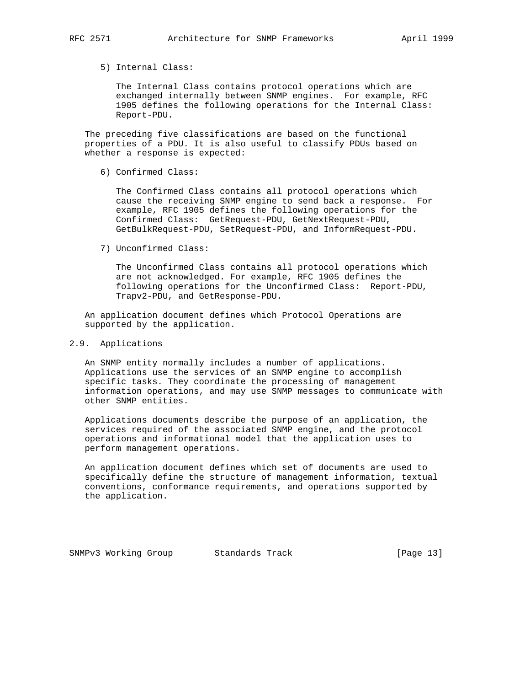#### 5) Internal Class:

 The Internal Class contains protocol operations which are exchanged internally between SNMP engines. For example, RFC 1905 defines the following operations for the Internal Class: Report-PDU.

 The preceding five classifications are based on the functional properties of a PDU. It is also useful to classify PDUs based on whether a response is expected:

6) Confirmed Class:

 The Confirmed Class contains all protocol operations which cause the receiving SNMP engine to send back a response. For example, RFC 1905 defines the following operations for the Confirmed Class: GetRequest-PDU, GetNextRequest-PDU, GetBulkRequest-PDU, SetRequest-PDU, and InformRequest-PDU.

7) Unconfirmed Class:

 The Unconfirmed Class contains all protocol operations which are not acknowledged. For example, RFC 1905 defines the following operations for the Unconfirmed Class: Report-PDU, Trapv2-PDU, and GetResponse-PDU.

 An application document defines which Protocol Operations are supported by the application.

#### 2.9. Applications

 An SNMP entity normally includes a number of applications. Applications use the services of an SNMP engine to accomplish specific tasks. They coordinate the processing of management information operations, and may use SNMP messages to communicate with other SNMP entities.

 Applications documents describe the purpose of an application, the services required of the associated SNMP engine, and the protocol operations and informational model that the application uses to perform management operations.

 An application document defines which set of documents are used to specifically define the structure of management information, textual conventions, conformance requirements, and operations supported by the application.

SNMPv3 Working Group Standards Track [Page 13]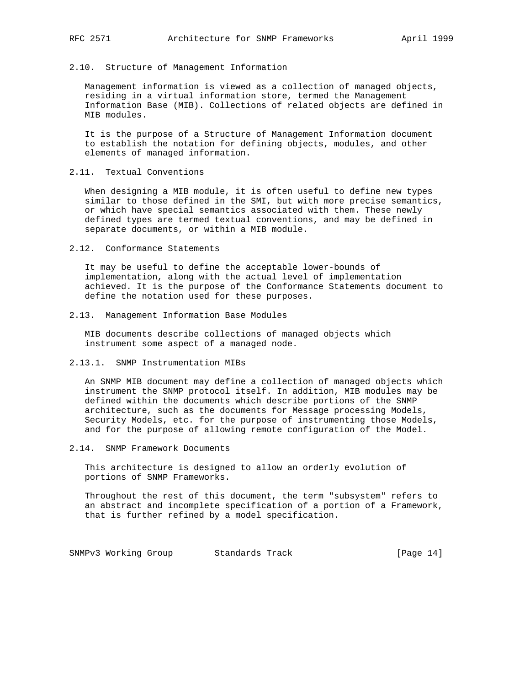#### 2.10. Structure of Management Information

 Management information is viewed as a collection of managed objects, residing in a virtual information store, termed the Management Information Base (MIB). Collections of related objects are defined in MIB modules.

 It is the purpose of a Structure of Management Information document to establish the notation for defining objects, modules, and other elements of managed information.

#### 2.11. Textual Conventions

 When designing a MIB module, it is often useful to define new types similar to those defined in the SMI, but with more precise semantics, or which have special semantics associated with them. These newly defined types are termed textual conventions, and may be defined in separate documents, or within a MIB module.

2.12. Conformance Statements

 It may be useful to define the acceptable lower-bounds of implementation, along with the actual level of implementation achieved. It is the purpose of the Conformance Statements document to define the notation used for these purposes.

2.13. Management Information Base Modules

 MIB documents describe collections of managed objects which instrument some aspect of a managed node.

2.13.1. SNMP Instrumentation MIBs

 An SNMP MIB document may define a collection of managed objects which instrument the SNMP protocol itself. In addition, MIB modules may be defined within the documents which describe portions of the SNMP architecture, such as the documents for Message processing Models, Security Models, etc. for the purpose of instrumenting those Models, and for the purpose of allowing remote configuration of the Model.

2.14. SNMP Framework Documents

 This architecture is designed to allow an orderly evolution of portions of SNMP Frameworks.

 Throughout the rest of this document, the term "subsystem" refers to an abstract and incomplete specification of a portion of a Framework, that is further refined by a model specification.

SNMPv3 Working Group Standards Track [Page 14]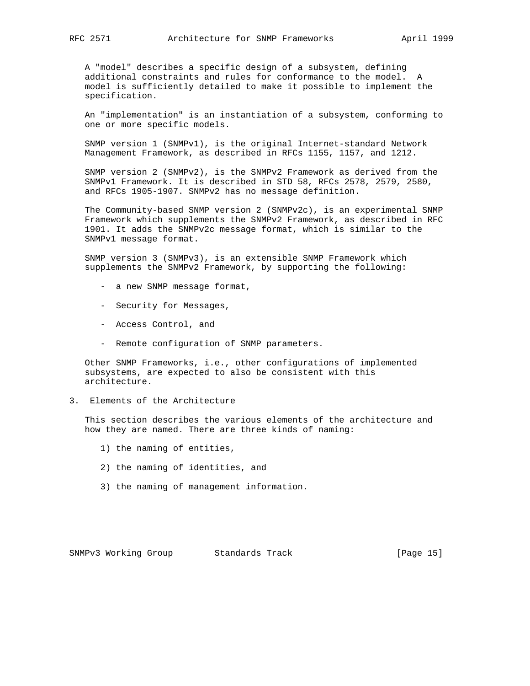A "model" describes a specific design of a subsystem, defining additional constraints and rules for conformance to the model. A model is sufficiently detailed to make it possible to implement the specification.

 An "implementation" is an instantiation of a subsystem, conforming to one or more specific models.

 SNMP version 1 (SNMPv1), is the original Internet-standard Network Management Framework, as described in RFCs 1155, 1157, and 1212.

 SNMP version 2 (SNMPv2), is the SNMPv2 Framework as derived from the SNMPv1 Framework. It is described in STD 58, RFCs 2578, 2579, 2580, and RFCs 1905-1907. SNMPv2 has no message definition.

 The Community-based SNMP version 2 (SNMPv2c), is an experimental SNMP Framework which supplements the SNMPv2 Framework, as described in RFC 1901. It adds the SNMPv2c message format, which is similar to the SNMPv1 message format.

 SNMP version 3 (SNMPv3), is an extensible SNMP Framework which supplements the SNMPv2 Framework, by supporting the following:

- a new SNMP message format,
- Security for Messages,
- Access Control, and
- Remote configuration of SNMP parameters.

 Other SNMP Frameworks, i.e., other configurations of implemented subsystems, are expected to also be consistent with this architecture.

3. Elements of the Architecture

 This section describes the various elements of the architecture and how they are named. There are three kinds of naming:

- 1) the naming of entities,
- 2) the naming of identities, and
- 3) the naming of management information.

SNMPv3 Working Group Standards Track [Page 15]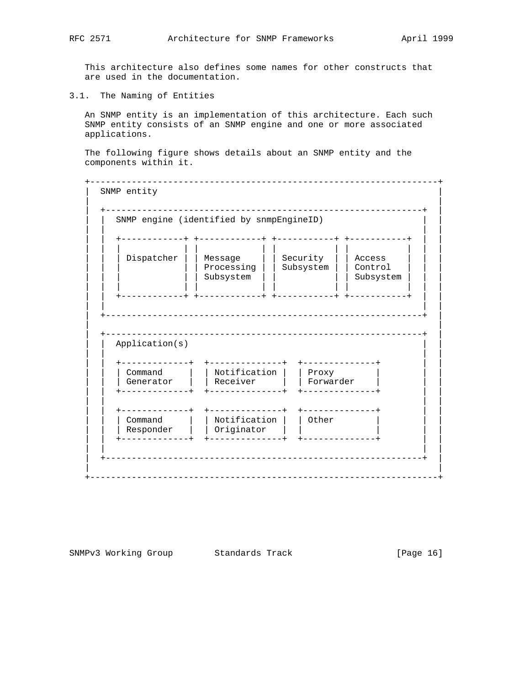This architecture also defines some names for other constructs that are used in the documentation.

3.1. The Naming of Entities

 An SNMP entity is an implementation of this architecture. Each such SNMP entity consists of an SNMP engine and one or more associated applications.

 The following figure shows details about an SNMP entity and the components within it.

 +-------------------------------------------------------------------+ SNMP entity | | | +-------------------------------------------------------------+ | SNMP engine (identified by snmpEngineID) | | | | | | +------------+ +------------+ +-----------+ +-----------+ | | | | | | | | | | | | | | | | | Dispatcher | | Message | | Security | | Access | | | | | | | | Processing | | Subsystem | | Control | | | | | | | | Subsystem | | | | Subsystem | | | | | | | | | | | | | | | | | +------------+ +------------+ +-----------+ +-----------+ | | | | | | | +-------------------------------------------------------------+ | | | | +-------------------------------------------------------------+ | Application(s) | | | | | | +-------------+ +--------------+ +--------------+ | | | | | Command | | Notification | | Proxy | | | | | | Generator | | Receiver | | Forwarder | | | | | +-------------+ +--------------+ +--------------+ | | | | | | | | +-------------+ +--------------+ +--------------+ | | | | | Command | | Notification | | Other | | | | | | Responder | | Originator | | | | | | | +-------------+ +--------------+ +--------------+ | | | | | | | +-------------------------------------------------------------+ | | | +-------------------------------------------------------------------+

SNMPv3 Working Group Standards Track [Page 16]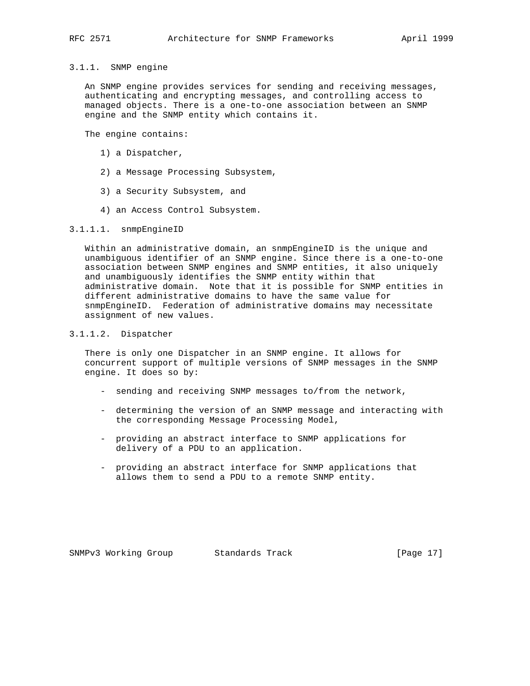# 3.1.1. SNMP engine

 An SNMP engine provides services for sending and receiving messages, authenticating and encrypting messages, and controlling access to managed objects. There is a one-to-one association between an SNMP engine and the SNMP entity which contains it.

The engine contains:

- 1) a Dispatcher,
- 2) a Message Processing Subsystem,
- 3) a Security Subsystem, and
- 4) an Access Control Subsystem.

#### 3.1.1.1. snmpEngineID

 Within an administrative domain, an snmpEngineID is the unique and unambiguous identifier of an SNMP engine. Since there is a one-to-one association between SNMP engines and SNMP entities, it also uniquely and unambiguously identifies the SNMP entity within that administrative domain. Note that it is possible for SNMP entities in different administrative domains to have the same value for snmpEngineID. Federation of administrative domains may necessitate assignment of new values.

#### 3.1.1.2. Dispatcher

 There is only one Dispatcher in an SNMP engine. It allows for concurrent support of multiple versions of SNMP messages in the SNMP engine. It does so by:

- sending and receiving SNMP messages to/from the network,
- determining the version of an SNMP message and interacting with the corresponding Message Processing Model,
- providing an abstract interface to SNMP applications for delivery of a PDU to an application.
- providing an abstract interface for SNMP applications that allows them to send a PDU to a remote SNMP entity.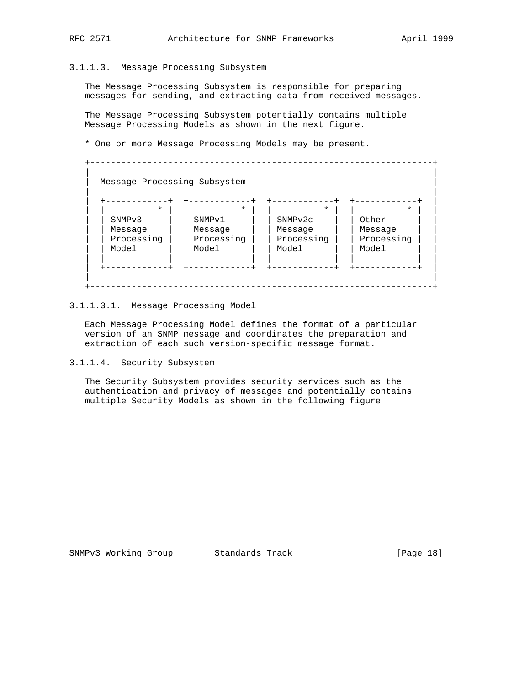#### 3.1.1.3. Message Processing Subsystem

 The Message Processing Subsystem is responsible for preparing messages for sending, and extracting data from received messages.

 The Message Processing Subsystem potentially contains multiple Message Processing Models as shown in the next figure.

\* One or more Message Processing Models may be present.

| $\star$            | $\star$            | $\star$    | $\star$    |
|--------------------|--------------------|------------|------------|
| SNMP <sub>v3</sub> | SNMP <sub>v1</sub> | SNMPv2c    | Other      |
| Message            | Message            | Message    | Message    |
| Processing         | Processing         | Processing | Processing |
| Model              | Model              | Model      | Model      |

#### 3.1.1.3.1. Message Processing Model

 Each Message Processing Model defines the format of a particular version of an SNMP message and coordinates the preparation and extraction of each such version-specific message format.

3.1.1.4. Security Subsystem

 The Security Subsystem provides security services such as the authentication and privacy of messages and potentially contains multiple Security Models as shown in the following figure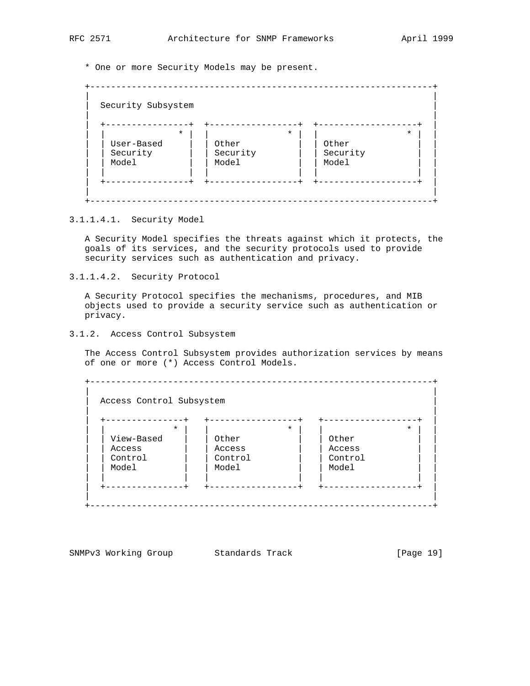\* One or more Security Models may be present.

|            | $\star$ |          | $\star$ |          |  |
|------------|---------|----------|---------|----------|--|
| User-Based |         | Other    |         | Other    |  |
| Security   |         | Security |         | Security |  |
| Model      |         | Model    |         | Model    |  |

#### 3.1.1.4.1. Security Model

 A Security Model specifies the threats against which it protects, the goals of its services, and the security protocols used to provide security services such as authentication and privacy.

3.1.1.4.2. Security Protocol

 A Security Protocol specifies the mechanisms, procedures, and MIB objects used to provide a security service such as authentication or privacy.

3.1.2. Access Control Subsystem

 The Access Control Subsystem provides authorization services by means of one or more (\*) Access Control Models.

 +------------------------------------------------------------------+ | | | Access Control Subsystem | | | | +---------------+ +-----------------+ +------------------+ | | | \* | | \* | | \* | | | | View-Based | | Other | | | Other | | | | | Access | | Access | | Access | | | | Control | | Control | | Control | | | | Model | | Model | | | Model | | | | | | | | | | | +---------------+ +-----------------+ +------------------+ | | | +------------------------------------------------------------------+

SNMPv3 Working Group Standards Track [Page 19]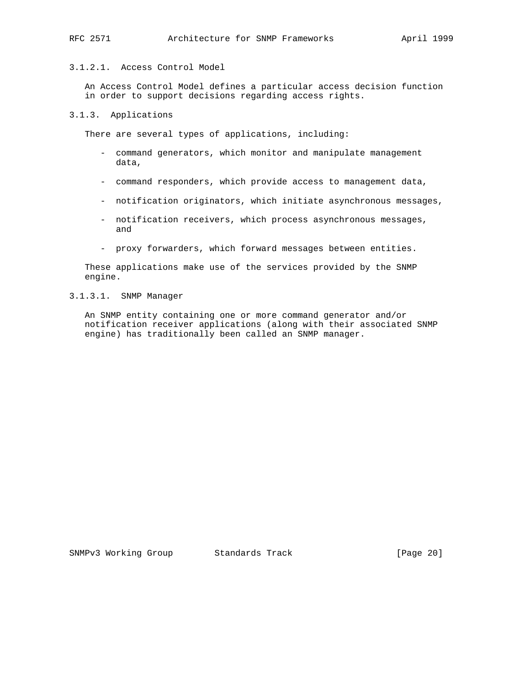#### 3.1.2.1. Access Control Model

 An Access Control Model defines a particular access decision function in order to support decisions regarding access rights.

#### 3.1.3. Applications

There are several types of applications, including:

- command generators, which monitor and manipulate management data,
- command responders, which provide access to management data,
- notification originators, which initiate asynchronous messages,
- notification receivers, which process asynchronous messages, and
- proxy forwarders, which forward messages between entities.

 These applications make use of the services provided by the SNMP engine.

#### 3.1.3.1. SNMP Manager

 An SNMP entity containing one or more command generator and/or notification receiver applications (along with their associated SNMP engine) has traditionally been called an SNMP manager.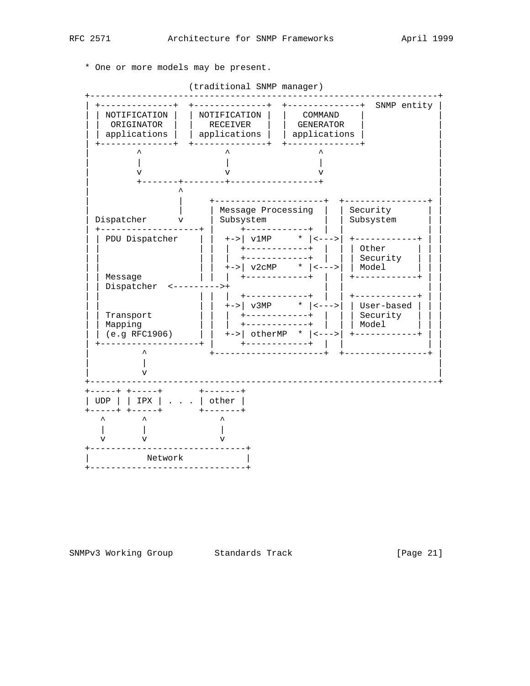\* One or more models may be present.

(traditional SNMP manager)

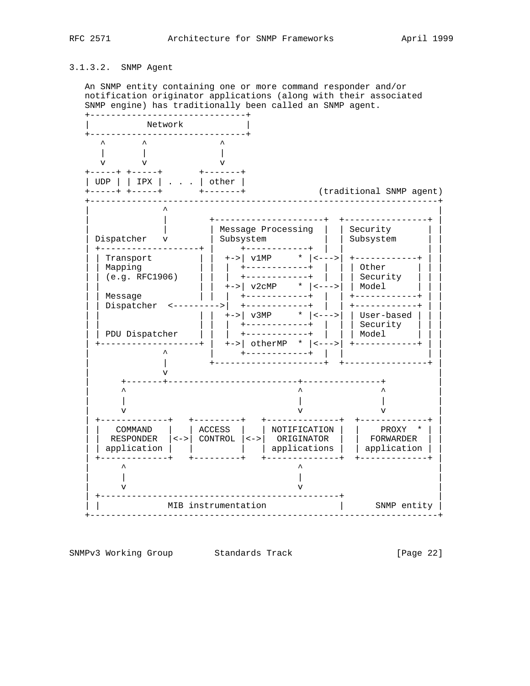### 3.1.3.2. SNMP Agent

 An SNMP entity containing one or more command responder and/or notification originator applications (along with their associated SNMP engine) has traditionally been called an SNMP agent.



SNMPv3 Working Group Standards Track [Page 22]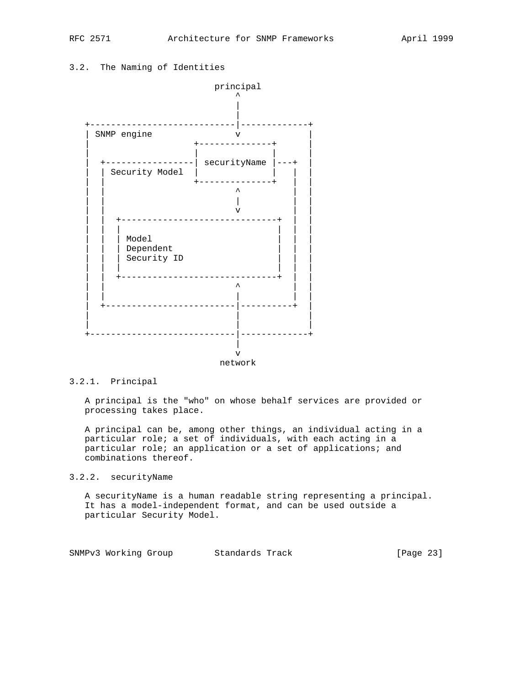### 3.2. The Naming of Identities



#### 3.2.1. Principal

 A principal is the "who" on whose behalf services are provided or processing takes place.

 A principal can be, among other things, an individual acting in a particular role; a set of individuals, with each acting in a particular role; an application or a set of applications; and combinations thereof.

#### 3.2.2. securityName

 A securityName is a human readable string representing a principal. It has a model-independent format, and can be used outside a particular Security Model.

SNMPv3 Working Group Standards Track [Page 23]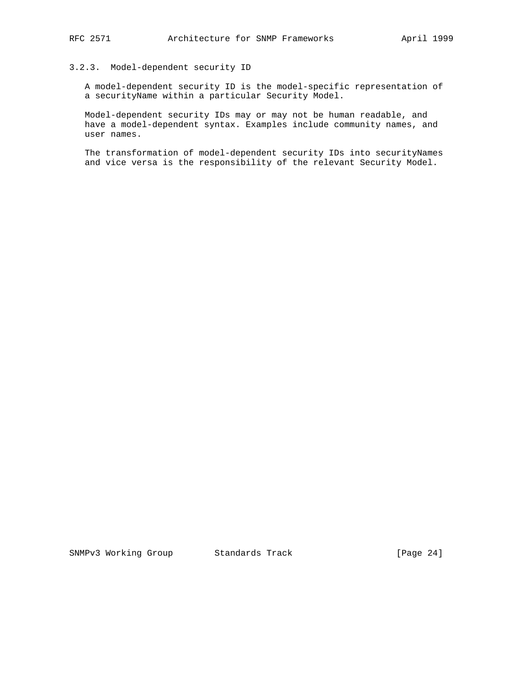#### 3.2.3. Model-dependent security ID

 A model-dependent security ID is the model-specific representation of a securityName within a particular Security Model.

 Model-dependent security IDs may or may not be human readable, and have a model-dependent syntax. Examples include community names, and user names.

The transformation of model-dependent security IDs into securityNames and vice versa is the responsibility of the relevant Security Model.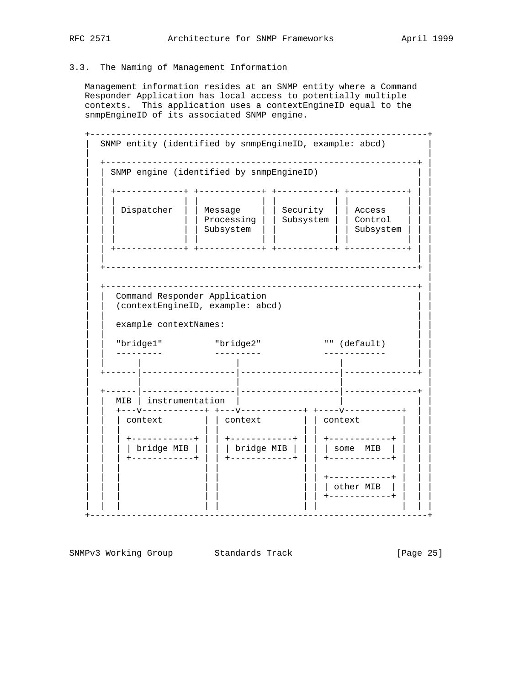#### 3.3. The Naming of Management Information

 Management information resides at an SNMP entity where a Command Responder Application has local access to potentially multiple contexts. This application uses a contextEngineID equal to the snmpEngineID of its associated SNMP engine.

 +-----------------------------------------------------------------+ | SNMP entity (identified by snmpEngineID, example: abcd) | | | | +------------------------------------------------------------+ | | SNMP engine (identified by snmpEngineID) | | | | | | +-------------+ +------------+ +-----------+ +-----------+ | | | | | | | | | | | | | | | | | Dispatcher | | Message | | Security | | Access | | | | | | | | Processing | | Subsystem | | Control | | | | | | | | Subsystem | | | | Subsystem | | | | | | | | | | | | | | | | | +-------------+ +------------+ +-----------+ +-----------+ | | | | | | | +------------------------------------------------------------+ | | | | +------------------------------------------------------------+ | Command Responder Application | | (contextEngineID, example: abcd) | | | | | | example contextNames: | | | | | | "bridge1" "bridge2" "" (default) | | | | --------- --------- ------------ | | | | | | | | | | +------|------------------|-------------------|--------------+ | | | | | | | +------|------------------|-------------------|--------------+ | MIB | instrumentation | | | +---v------------+ +---v------------+ +----v-----------+ | |  $\vert$  context  $\vert$   $\vert$  context  $\vert$   $\vert$  context | | | | | | | | | | | | | +------------+ | | +------------+ | | +------------+ | | | | | | | bridge MIB | | | | bridge MIB | | | | some MIB | | | | | | | +------------+ | | +------------+ | | +------------+ | | | | | | | | | | | | | +-----------+ | | other MIB | | | | | | | | | +------------+ | | | | | | | | | | | | | +-----------------------------------------------------------------+

SNMPv3 Working Group Standards Track [Page 25]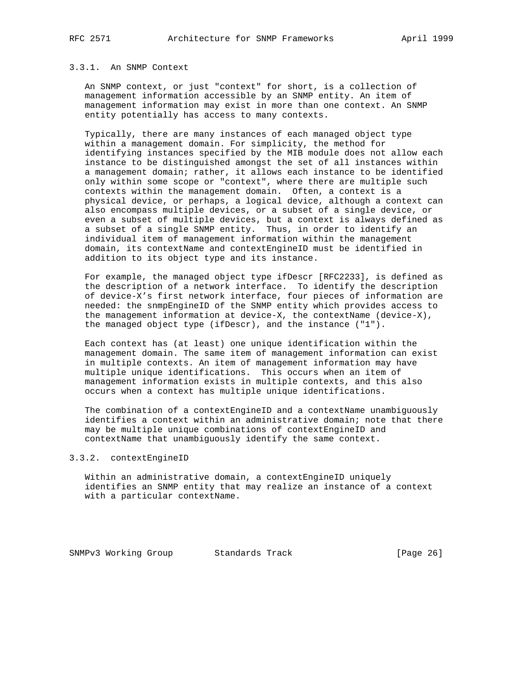#### 3.3.1. An SNMP Context

 An SNMP context, or just "context" for short, is a collection of management information accessible by an SNMP entity. An item of management information may exist in more than one context. An SNMP entity potentially has access to many contexts.

 Typically, there are many instances of each managed object type within a management domain. For simplicity, the method for identifying instances specified by the MIB module does not allow each instance to be distinguished amongst the set of all instances within a management domain; rather, it allows each instance to be identified only within some scope or "context", where there are multiple such contexts within the management domain. Often, a context is a physical device, or perhaps, a logical device, although a context can also encompass multiple devices, or a subset of a single device, or even a subset of multiple devices, but a context is always defined as a subset of a single SNMP entity. Thus, in order to identify an individual item of management information within the management domain, its contextName and contextEngineID must be identified in addition to its object type and its instance.

 For example, the managed object type ifDescr [RFC2233], is defined as the description of a network interface. To identify the description of device-X's first network interface, four pieces of information are needed: the snmpEngineID of the SNMP entity which provides access to the management information at device-X, the contextName (device-X), the managed object type (ifDescr), and the instance ("1").

 Each context has (at least) one unique identification within the management domain. The same item of management information can exist in multiple contexts. An item of management information may have multiple unique identifications. This occurs when an item of management information exists in multiple contexts, and this also occurs when a context has multiple unique identifications.

 The combination of a contextEngineID and a contextName unambiguously identifies a context within an administrative domain; note that there may be multiple unique combinations of contextEngineID and contextName that unambiguously identify the same context.

#### 3.3.2. contextEngineID

 Within an administrative domain, a contextEngineID uniquely identifies an SNMP entity that may realize an instance of a context with a particular contextName.

SNMPv3 Working Group Standards Track [Page 26]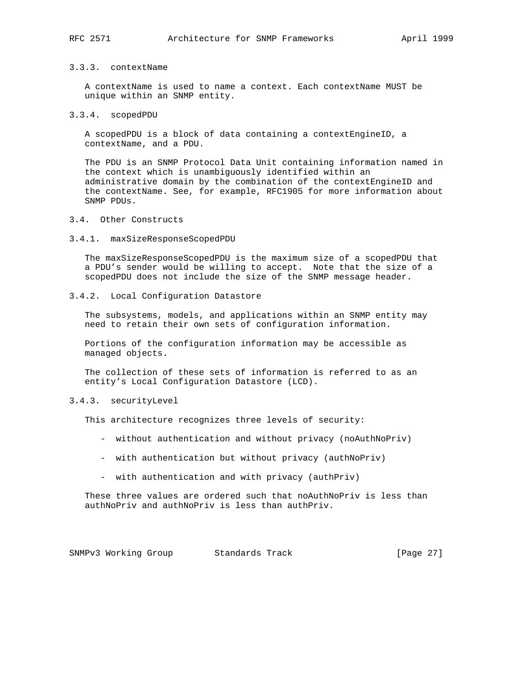#### 3.3.3. contextName

 A contextName is used to name a context. Each contextName MUST be unique within an SNMP entity.

#### 3.3.4. scopedPDU

 A scopedPDU is a block of data containing a contextEngineID, a contextName, and a PDU.

 The PDU is an SNMP Protocol Data Unit containing information named in the context which is unambiguously identified within an administrative domain by the combination of the contextEngineID and the contextName. See, for example, RFC1905 for more information about SNMP PDUs.

#### 3.4. Other Constructs

#### 3.4.1. maxSizeResponseScopedPDU

 The maxSizeResponseScopedPDU is the maximum size of a scopedPDU that a PDU's sender would be willing to accept. Note that the size of a scopedPDU does not include the size of the SNMP message header.

#### 3.4.2. Local Configuration Datastore

 The subsystems, models, and applications within an SNMP entity may need to retain their own sets of configuration information.

 Portions of the configuration information may be accessible as managed objects.

 The collection of these sets of information is referred to as an entity's Local Configuration Datastore (LCD).

#### 3.4.3. securityLevel

This architecture recognizes three levels of security:

- without authentication and without privacy (noAuthNoPriv)
- with authentication but without privacy (authNoPriv)
- with authentication and with privacy (authPriv)

 These three values are ordered such that noAuthNoPriv is less than authNoPriv and authNoPriv is less than authPriv.

SNMPv3 Working Group Standards Track [Page 27]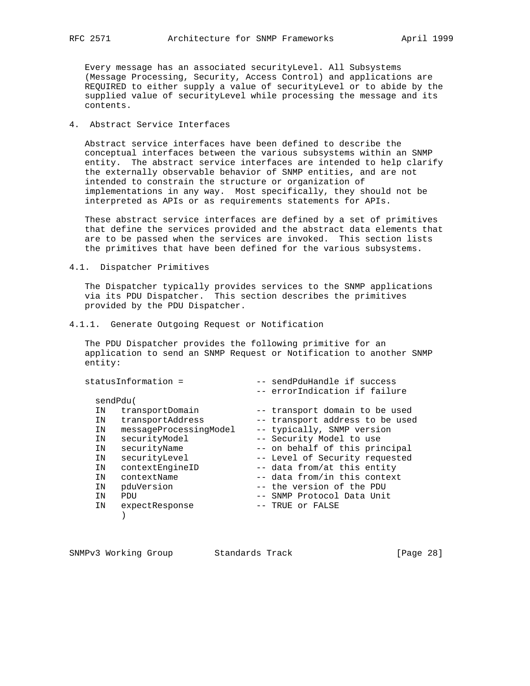Every message has an associated securityLevel. All Subsystems (Message Processing, Security, Access Control) and applications are REQUIRED to either supply a value of securityLevel or to abide by the supplied value of securityLevel while processing the message and its contents.

### 4. Abstract Service Interfaces

 Abstract service interfaces have been defined to describe the conceptual interfaces between the various subsystems within an SNMP entity. The abstract service interfaces are intended to help clarify the externally observable behavior of SNMP entities, and are not intended to constrain the structure or organization of implementations in any way. Most specifically, they should not be interpreted as APIs or as requirements statements for APIs.

 These abstract service interfaces are defined by a set of primitives that define the services provided and the abstract data elements that are to be passed when the services are invoked. This section lists the primitives that have been defined for the various subsystems.

4.1. Dispatcher Primitives

 The Dispatcher typically provides services to the SNMP applications via its PDU Dispatcher. This section describes the primitives provided by the PDU Dispatcher.

#### 4.1.1. Generate Outgoing Request or Notification

 The PDU Dispatcher provides the following primitive for an application to send an SNMP Request or Notification to another SNMP entity:

|    | statusInformation =    | -- sendPduHandle if success<br>-- errorIndication if failure |
|----|------------------------|--------------------------------------------------------------|
|    | sendPdu(               |                                                              |
| ΙN | transportDomain        | -- transport domain to be used                               |
| ΙN | transportAddress       | -- transport address to be used                              |
| ΙN | messageProcessingModel | -- typically, SNMP version                                   |
| ΙN | securityModel          | -- Security Model to use                                     |
| ΙN | securityName           | -- on behalf of this principal                               |
| ΙN | securityLevel          | -- Level of Security requested                               |
| ΙN | contextEngineID        | -- data from/at this entity                                  |
| ΙN | contextName            | -- data from/in this context                                 |
| ΙN | pduVersion             | -- the version of the PDU                                    |
| ΙN | PDU                    | -- SNMP Protocol Data Unit                                   |
| ΙN | expectResponse         | -- TRUE or FALSE                                             |
|    |                        |                                                              |
|    |                        |                                                              |

| SNMPv3 Working Group |  | Standards Track |  | [Page 28] |  |  |
|----------------------|--|-----------------|--|-----------|--|--|
|----------------------|--|-----------------|--|-----------|--|--|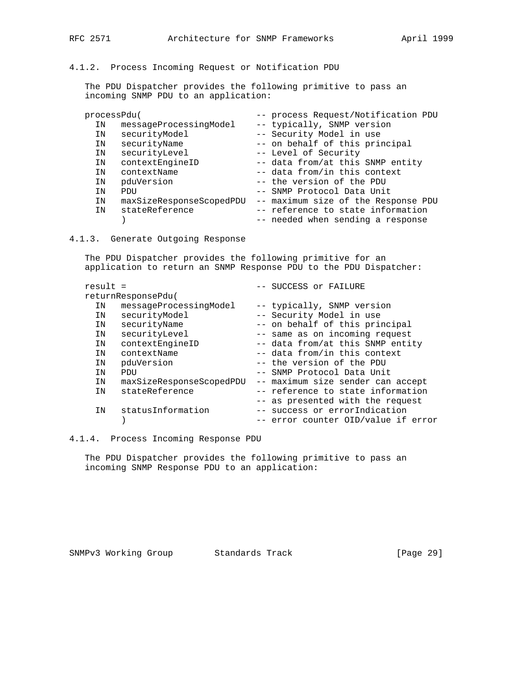#### 4.1.2. Process Incoming Request or Notification PDU

 The PDU Dispatcher provides the following primitive to pass an incoming SNMP PDU to an application:

| processPdu( |                          | -- process Request/Notification PDU |
|-------------|--------------------------|-------------------------------------|
| ΙN          | messageProcessingModel   | -- typically, SNMP version          |
| ΙN          | securityModel            | -- Security Model in use            |
| IN          | securityName             | -- on behalf of this principal      |
| ΙN          | securityLevel            | -- Level of Security                |
| IN          | contextEngineID          | -- data from/at this SNMP entity    |
| ΙN          | contextName              | -- data from/in this context        |
| ΙN          | pduVersion               | -- the version of the PDU           |
| ΙN          | PDU                      | -- SNMP Protocol Data Unit          |
| ΙN          | maxSizeResponseScopedPDU | -- maximum size of the Response PDU |
| ΙN          | stateReference           | -- reference to state information   |
|             |                          | -- needed when sending a response   |

4.1.3. Generate Outgoing Response

 The PDU Dispatcher provides the following primitive for an application to return an SNMP Response PDU to the PDU Dispatcher:

| $result =$ |                          | -- SUCCESS or FAILURE             |
|------------|--------------------------|-----------------------------------|
|            | returnResponsePdu(       |                                   |
| ΙN         | messageProcessingModel   | -- typically, SNMP version        |
| ΙN         | securityModel            | -- Security Model in use          |
| IN         | securityName             | -- on behalf of this principal    |
| ΙN         | securityLevel            | -- same as on incoming request    |
| ΙN         | contextEngineID          | -- data from/at this SNMP entity  |
| ΙN         | contextName              | -- data from/in this context      |
| ΙN         | pduVersion               | -- the version of the PDU         |
| ΙN         | PDU                      | -- SNMP Protocol Data Unit        |
| ΙN         | maxSizeResponseScopedPDU | -- maximum size sender can accept |
| ΙN         | stateReference           | -- reference to state information |
|            |                          | -- as presented with the request  |
| IN         | statusInformation        | -- success or errorIndication     |
|            |                          | error counter OID/value if error  |
|            |                          |                                   |

4.1.4. Process Incoming Response PDU

 The PDU Dispatcher provides the following primitive to pass an incoming SNMP Response PDU to an application: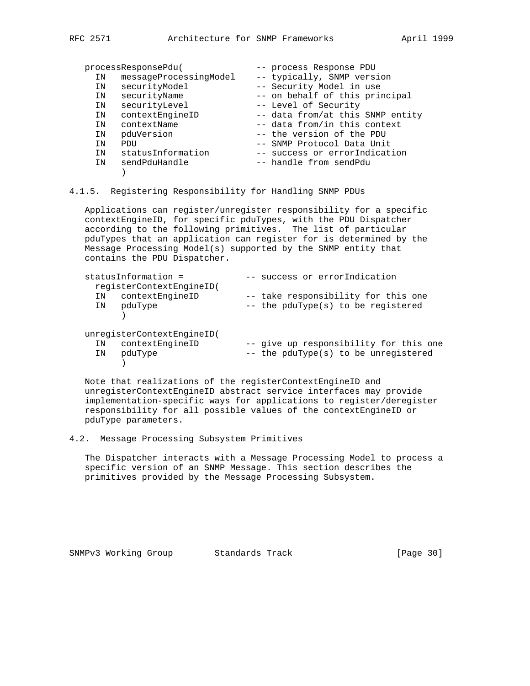|    | processResponsePdu(    | -- process Response PDU          |
|----|------------------------|----------------------------------|
| ΙN | messageProcessingModel | -- typically, SNMP version       |
| IN | securityModel          | -- Security Model in use         |
| ΙN | securityName           | -- on behalf of this principal   |
| IN | securityLevel          | -- Level of Security             |
| ΙN | contextEngineID        | -- data from/at this SNMP entity |
| ΤN | contextName            | -- data from/in this context     |
| ΙN | pduVersion             | -- the version of the PDU        |
| ΤN | PDIJ                   | -- SNMP Protocol Data Unit       |
| TN | statusInformation      | -- success or errorIndication    |
| TN | sendPduHandle          | -- handle from sendPdu           |
|    |                        |                                  |

4.1.5. Registering Responsibility for Handling SNMP PDUs

 Applications can register/unregister responsibility for a specific contextEngineID, for specific pduTypes, with the PDU Dispatcher according to the following primitives. The list of particular pduTypes that an application can register for is determined by the Message Processing Model(s) supported by the SNMP entity that contains the PDU Dispatcher.

| statusInformation =<br>reqisterContextEngineID(                   | -- success or errorIndication                                                  |
|-------------------------------------------------------------------|--------------------------------------------------------------------------------|
| contextEngineID<br>ΙN<br>IN pduType                               | -- take responsibility for this one<br>-- the pduType(s) to be registered      |
| unregisterContextEngineID(<br>IN contextEngineID<br>pduType<br>IN | -- give up responsibility for this one<br>-- the pduType(s) to be unregistered |

 Note that realizations of the registerContextEngineID and unregisterContextEngineID abstract service interfaces may provide implementation-specific ways for applications to register/deregister responsibility for all possible values of the contextEngineID or pduType parameters.

4.2. Message Processing Subsystem Primitives

 The Dispatcher interacts with a Message Processing Model to process a specific version of an SNMP Message. This section describes the primitives provided by the Message Processing Subsystem.

SNMPv3 Working Group Standards Track [Page 30]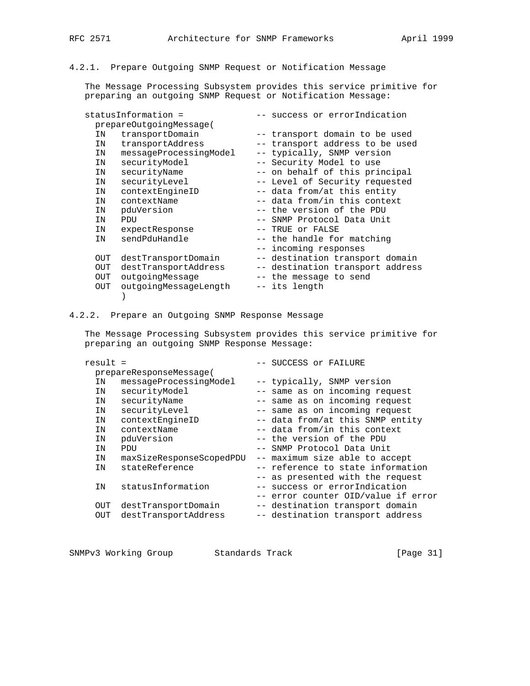# 4.2.1. Prepare Outgoing SNMP Request or Notification Message

 The Message Processing Subsystem provides this service primitive for preparing an outgoing SNMP Request or Notification Message:

| statusInformation = |                         | -- success or errorIndication    |
|---------------------|-------------------------|----------------------------------|
|                     | prepareOutgoingMessage( |                                  |
| IN                  | transportDomain         | -- transport domain to be used   |
| IN                  | transportAddress        | -- transport address to be used  |
| IN                  | messageProcessingModel  | -- typically, SNMP version       |
| IN                  | securityModel           | -- Security Model to use         |
| IN                  | securityName            | -- on behalf of this principal   |
| IN                  | securityLevel           | -- Level of Security requested   |
| IN                  | contextEngineID         | -- data from/at this entity      |
| IN                  | contextName             | -- data from/in this context     |
| IN                  | pduVersion              | -- the version of the PDU        |
| IN                  | PDU                     | -- SNMP Protocol Data Unit       |
| IN                  | expectResponse          | -- TRUE or FALSE                 |
| IN                  | sendPduHandle           | -- the handle for matching       |
|                     |                         | -- incoming responses            |
| OUT                 | destTransportDomain     | -- destination transport domain  |
| OUT                 | destTransportAddress    | -- destination transport address |
| OUT                 | outgoingMessage         | -- the message to send           |
| OUT                 | outgoingMessageLength   | -- its length                    |
|                     |                         |                                  |
|                     |                         |                                  |

#### 4.2.2. Prepare an Outgoing SNMP Response Message

 The Message Processing Subsystem provides this service primitive for preparing an outgoing SNMP Response Message:

| $result =$ |                          | -- SUCCESS or FAILURE               |
|------------|--------------------------|-------------------------------------|
|            | prepareResponseMessage(  |                                     |
| ΙN         | messageProcessingModel   | -- typically, SNMP version          |
| ΙN         | securityModel            | -- same as on incoming request      |
| IN         | securityName             | -- same as on incoming request      |
| IN         | securityLevel            | -- same as on incoming request      |
| IN         | contextEngineID          | -- data from/at this SNMP entity    |
| ΙN         | contextName              | -- data from/in this context        |
| ΙN         | pduVersion               | -- the version of the PDU           |
| ΙN         | PDU                      | -- SNMP Protocol Data Unit          |
| IN         | maxSizeResponseScopedPDU | -- maximum size able to accept      |
| ΙN         | stateReference           | -- reference to state information   |
|            |                          | -- as presented with the request    |
| IN         | statusInformation        | -- success or errorIndication       |
|            |                          | -- error counter OID/value if error |
| OUT        | destTransportDomain      | -- destination transport domain     |
| OUT        | destTransportAddress     | -- destination transport address    |

|  | SNMPv3 Working Group |  | Standards Track |  | [Page 31] |  |  |
|--|----------------------|--|-----------------|--|-----------|--|--|
|--|----------------------|--|-----------------|--|-----------|--|--|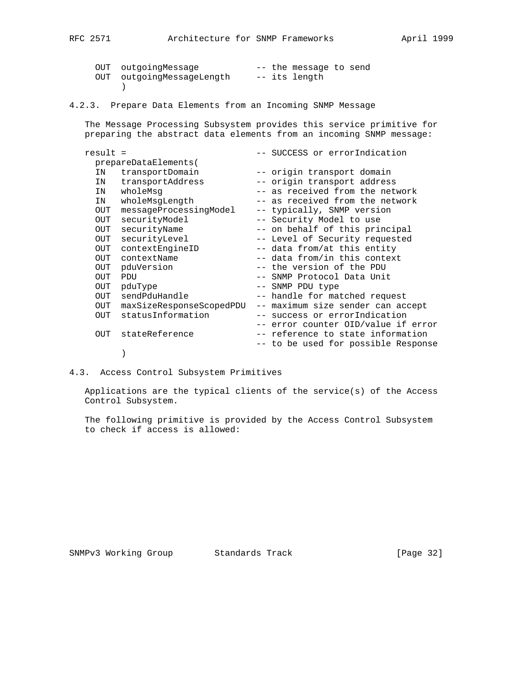| OUT outgoingMessage       |  | -- the message to send |  |
|---------------------------|--|------------------------|--|
| OUT outgoingMessageLength |  | -- its length          |  |
|                           |  |                        |  |

4.2.3. Prepare Data Elements from an Incoming SNMP Message

 The Message Processing Subsystem provides this service primitive for preparing the abstract data elements from an incoming SNMP message:

| $result =$ |                          | -- SUCCESS or errorIndication       |
|------------|--------------------------|-------------------------------------|
|            | prepareDataElements(     |                                     |
| IN         | transportDomain          | -- origin transport domain          |
| IN         | transportAddress         | -- origin transport address         |
| IN         | wholeMsq                 | -- as received from the network     |
| IN         | wholeMsqLength           | -- as received from the network     |
| OUT        | messageProcessingModel   | -- typically, SNMP version          |
| OUT        | securityModel            | -- Security Model to use            |
| OUT        | securityName             | -- on behalf of this principal      |
| OUT        | securityLevel            | -- Level of Security requested      |
| OUT        | contextEngineID          | -- data from/at this entity         |
| OUT        | contextName              | -- data from/in this context        |
| OUT        | pduVersion               | -- the version of the PDU           |
| <b>OUT</b> | PDU                      | -- SNMP Protocol Data Unit          |
| OUT        | pduType                  | -- SNMP PDU type                    |
| OUT        | sendPduHandle            | -- handle for matched request       |
| OUT        | maxSizeResponseScopedPDU | -- maximum size sender can accept   |
| OUT        | statusInformation        | -- success or errorIndication       |
|            |                          | -- error counter OID/value if error |
| OUT        | stateReference           | -- reference to state information   |
|            |                          | -- to be used for possible Response |
|            |                          |                                     |

4.3. Access Control Subsystem Primitives

 Applications are the typical clients of the service(s) of the Access Control Subsystem.

 The following primitive is provided by the Access Control Subsystem to check if access is allowed:

SNMPv3 Working Group Standards Track [Page 32]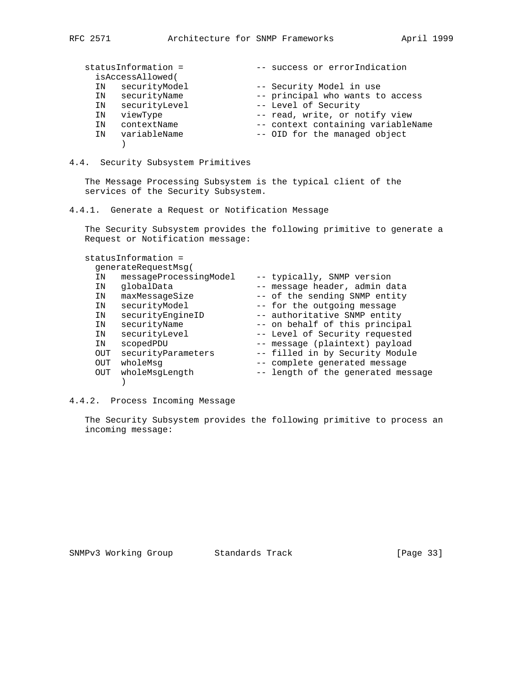|    | statusInformation =<br>isAccessAllowed( | -- success or errorIndication      |
|----|-----------------------------------------|------------------------------------|
| ΙN | securityModel                           | -- Security Model in use           |
| IN | securityName                            | -- principal who wants to access   |
| ΙN | securityLevel                           | -- Level of Security               |
| ΙN | viewType                                | -- read, write, or notify view     |
| ΙN | contextName                             | -- context containing variableName |
| TN | variableName                            | -- OID for the managed object      |
|    |                                         |                                    |

#### 4.4. Security Subsystem Primitives

 The Message Processing Subsystem is the typical client of the services of the Security Subsystem.

4.4.1. Generate a Request or Notification Message

 The Security Subsystem provides the following primitive to generate a Request or Notification message:

### statusInformation =

|            | generateRequestMsq(    |                                    |
|------------|------------------------|------------------------------------|
| ΙN         | messageProcessingModel | -- typically, SNMP version         |
| ΙN         | qlobalData             | -- message header, admin data      |
| ΙN         | maxMessageSize         | -- of the sending SNMP entity      |
| ΙN         | securityModel          | -- for the outgoing message        |
| ΙN         | securityEngineID       | -- authoritative SNMP entity       |
| ΙN         | securityName           | -- on behalf of this principal     |
| ΙN         | securityLevel          | -- Level of Security requested     |
| ΙN         | scopedPDU              | -- message (plaintext) payload     |
| <b>OUT</b> | securityParameters     | -- filled in by Security Module    |
| <b>OUT</b> | wholeMsq               | -- complete generated message      |
| <b>OUT</b> | wholeMsgLength         | -- length of the generated message |
|            |                        |                                    |

#### 4.4.2. Process Incoming Message

 The Security Subsystem provides the following primitive to process an incoming message: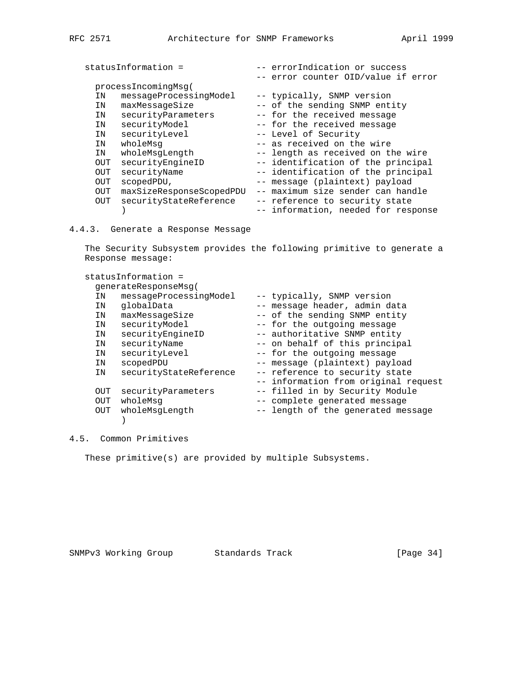| -- errorIndication or success       |
|-------------------------------------|
| -- error counter OID/value if error |
|                                     |
| -- typically, SNMP version          |
| -- of the sending SNMP entity       |
| -- for the received message         |
| -- for the received message         |
| -- Level of Security                |
| -- as received on the wire          |
| -- length as received on the wire   |
| -- identification of the principal  |
| -- identification of the principal  |
| -- message (plaintext) payload      |
| -- maximum size sender can handle   |
| -- reference to security state      |
| -- information, needed for response |
|                                     |

4.4.3. Generate a Response Message

 The Security Subsystem provides the following primitive to generate a Response message:

|     | statusInformation =    |                                      |
|-----|------------------------|--------------------------------------|
|     | generateResponseMsg(   |                                      |
| ΙN  | messageProcessingModel | -- typically, SNMP version           |
| IN  | qlobalData             | -- message header, admin data        |
| IN  | maxMessageSize         | -- of the sending SNMP entity        |
| IN  | securityModel          | -- for the outgoing message          |
| IN  | securityEngineID       | -- authoritative SNMP entity         |
| IN  | securityName           | -- on behalf of this principal       |
| IN  | securityLevel          | -- for the outgoing message          |
| IN  | scopedPDU              | -- message (plaintext) payload       |
| IN  | securityStateReference | -- reference to security state       |
|     |                        | -- information from original request |
| OUT | securityParameters     | -- filled in by Security Module      |
| OUT | wholeMsq               | -- complete generated message        |
| OUT | wholeMsqLength         | -- length of the generated message   |
|     |                        |                                      |

4.5. Common Primitives

These primitive(s) are provided by multiple Subsystems.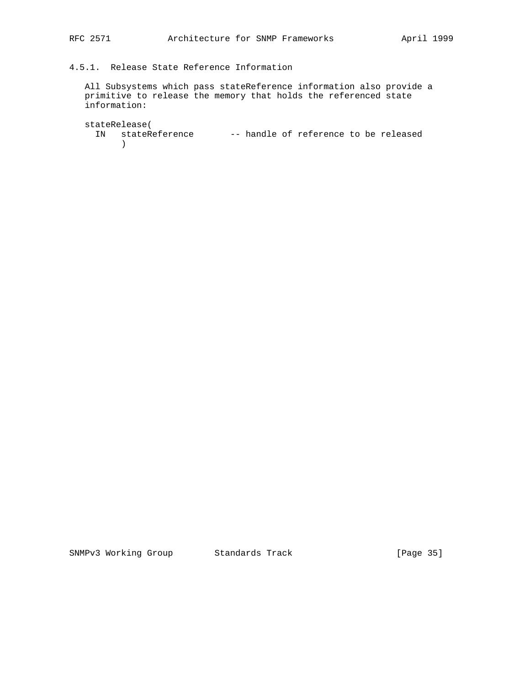## 4.5.1. Release State Reference Information

 All Subsystems which pass stateReference information also provide a primitive to release the memory that holds the referenced state information:

 stateRelease( IN stateReference -- handle of reference to be released )

SNMPv3 Working Group Standards Track [Page 35]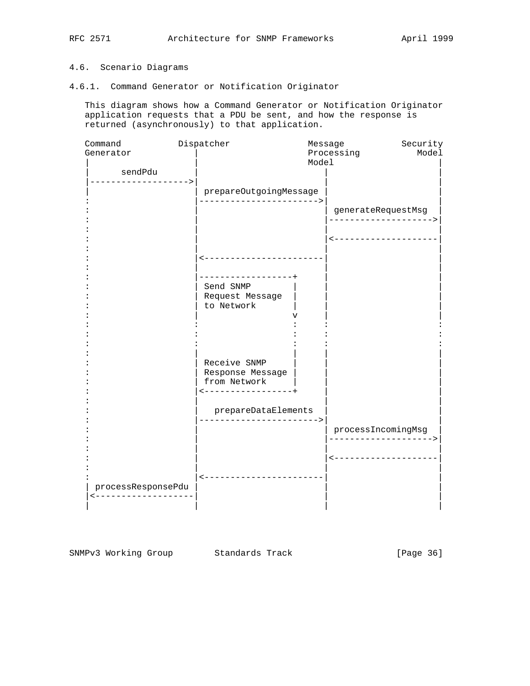### 4.6. Scenario Diagrams

#### 4.6.1. Command Generator or Notification Originator

 This diagram shows how a Command Generator or Notification Originator application requests that a PDU be sent, and how the response is returned (asynchronously) to that application.

| Command            | Dispatcher                | Message    | Security              |
|--------------------|---------------------------|------------|-----------------------|
| Generator          |                           | Processing | Model                 |
|                    |                           | Model      |                       |
| sendPdu            |                           |            |                       |
| -----------------> |                           |            |                       |
|                    | prepareOutgoingMessage    |            |                       |
|                    | ------------------------> |            |                       |
|                    |                           |            | generateRequestMsg    |
|                    |                           |            | .-------------------> |
|                    |                           |            |                       |
|                    |                           |            | <-------------------- |
|                    |                           |            |                       |
|                    | ----------------------    |            |                       |
|                    |                           |            |                       |
|                    | ----------------+         |            |                       |
|                    | Send SNMP                 |            |                       |
|                    | Request Message           |            |                       |
|                    | to Network                |            |                       |
|                    |                           |            |                       |
|                    |                           |            |                       |
|                    |                           |            |                       |
|                    |                           |            |                       |
|                    |                           |            |                       |
|                    | Receive SNMP              |            |                       |
|                    | Response Message          |            |                       |
|                    | from Network              |            |                       |
|                    | -----------------+        |            |                       |
|                    |                           |            |                       |
|                    | prepareDataElements       |            |                       |
|                    | -------------------->     |            |                       |
|                    |                           |            | processIncomingMsg    |
|                    |                           |            | -------------------   |
|                    |                           |            |                       |
|                    |                           |            | <-------------------- |
|                    |                           |            |                       |
|                    | <-----------------------  |            |                       |
| processResponsePdu |                           |            |                       |
| -----------------  |                           |            |                       |
|                    |                           |            |                       |

SNMPv3 Working Group Standards Track [Page 36]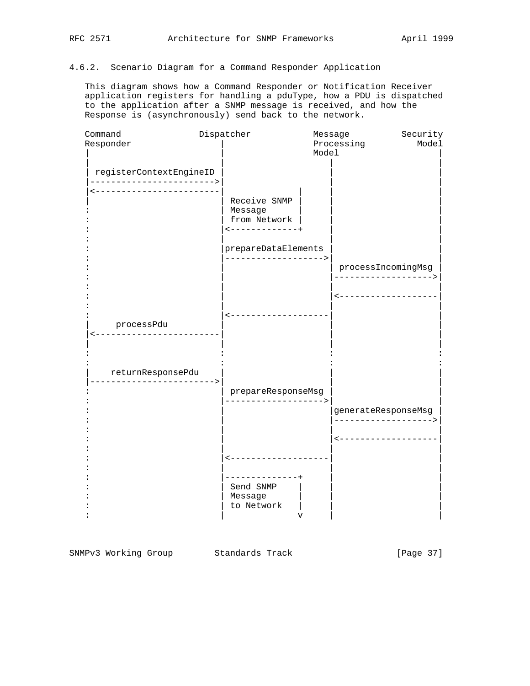#### 4.6.2. Scenario Diagram for a Command Responder Application

 This diagram shows how a Command Responder or Notification Receiver application registers for handling a pduType, how a PDU is dispatched to the application after a SNMP message is received, and how the Response is (asynchronously) send back to the network.



SNMPv3 Working Group Standards Track [Page 37]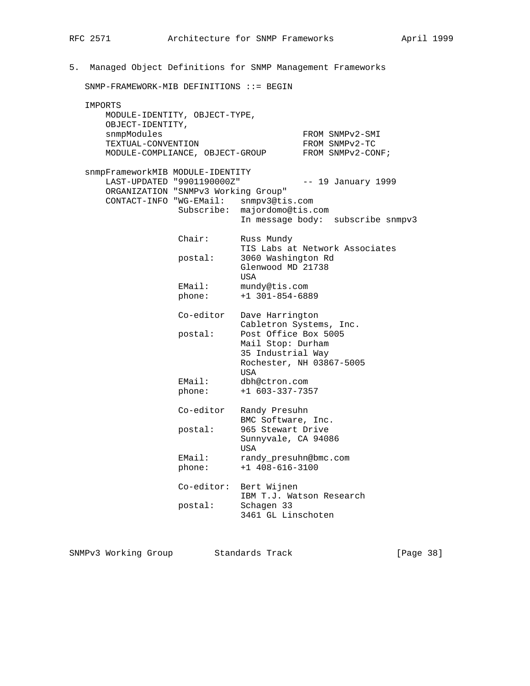# 5. Managed Object Definitions for SNMP Management Frameworks SNMP-FRAMEWORK-MIB DEFINITIONS ::= BEGIN IMPORTS MODULE-IDENTITY, OBJECT-TYPE, OBJECT-IDENTITY, snmpModules FROM SNMPv2-SMI TEXTUAL-CONVENTION FROM SNMPv2-TC MODULE-COMPLIANCE, OBJECT-GROUP FROM SNMPv2-CONF; snmpFrameworkMIB MODULE-IDENTITY LAST-UPDATED "9901190000Z" -- 19 January 1999 ORGANIZATION "SNMPv3 Working Group" CONTACT-INFO "WG-EMail: snmpv3@tis.com Subscribe: majordomo@tis.com In message body: subscribe snmpv3 Chair: Russ Mundy TIS Labs at Network Associates postal: 3060 Washington Rd Glenwood MD 21738 USA EMail: mundy@tis.com phone: +1 301-854-6889 Co-editor Dave Harrington Cabletron Systems, Inc.<br>postal: Post Office Box 5005 Post Office Box 5005 Mail Stop: Durham 35 Industrial Way Rochester, NH 03867-5005 usa di kacamatan ing Kabupatèn Kabupatèn Kabupatèn Kabupatèn Kabupatèn Kabupatèn Kabupatèn Kabupatèn Kabupatèn EMail: dbh@ctron.com phone: +1 603-337-7357 Co-editor Randy Presuhn BMC Software, Inc. postal: 965 Stewart Drive Sunnyvale, CA 94086 USA EMail: randy\_presuhn@bmc.com phone: +1 408-616-3100 Co-editor: Bert Wijnen IBM T.J. Watson Research postal: Schagen 33 3461 GL Linschoten

SNMPv3 Working Group Standards Track [Page 38]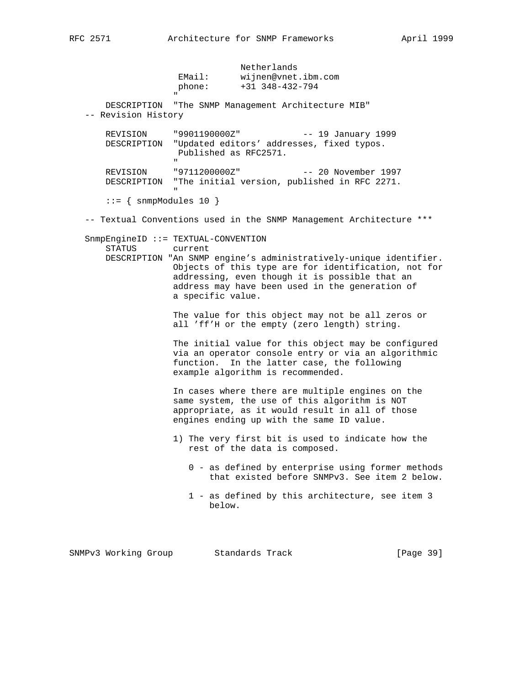|                                    | Netherlands<br>wijnen@vnet.ibm.com<br>EMail:<br>$+31$ 348-432-794<br>phone:                                                                                                                                                                                                                              |
|------------------------------------|----------------------------------------------------------------------------------------------------------------------------------------------------------------------------------------------------------------------------------------------------------------------------------------------------------|
| -- Revision History                | $\mathbf{u}$<br>DESCRIPTION "The SNMP Management Architecture MIB"                                                                                                                                                                                                                                       |
| REVISION<br>DESCRIPTION            | "9901190000Z"<br>$--$ 19 January 1999<br>"Updated editors' addresses, fixed typos.<br>Published as RFC2571.<br>$\mathbf H$                                                                                                                                                                               |
| REVISION                           | "9711200000Z"<br>-- 20 November 1997<br>DESCRIPTION "The initial version, published in RFC 2271.                                                                                                                                                                                                         |
| $ ::= \{ \text{snmpModels } 10 \}$ |                                                                                                                                                                                                                                                                                                          |
|                                    | -- Textual Conventions used in the SNMP Management Architecture ***                                                                                                                                                                                                                                      |
| STATUS                             | $SnmpEngineID :: = TEXTUAL-CONVENTION$<br>current<br>DESCRIPTION "An SNMP engine's administratively-unique identifier.<br>Objects of this type are for identification, not for<br>addressing, even though it is possible that an<br>address may have been used in the generation of<br>a specific value. |
|                                    | The value for this object may not be all zeros or<br>all 'ff'H or the empty (zero length) string.                                                                                                                                                                                                        |
|                                    | The initial value for this object may be configured<br>via an operator console entry or via an algorithmic<br>In the latter case, the following<br>function.<br>example algorithm is recommended.                                                                                                        |
|                                    | In cases where there are multiple engines on the<br>same system, the use of this algorithm is NOT<br>appropriate, as it would result in all of those<br>engines ending up with the same ID value.                                                                                                        |
|                                    | 1) The very first bit is used to indicate how the<br>rest of the data is composed.                                                                                                                                                                                                                       |
|                                    | 0 - as defined by enterprise using former methods<br>that existed before SNMPv3. See item 2 below.                                                                                                                                                                                                       |
|                                    | 1 - as defined by this architecture, see item 3<br>below.                                                                                                                                                                                                                                                |
|                                    |                                                                                                                                                                                                                                                                                                          |

SNMPv3 Working Group Standards Track [Page 39]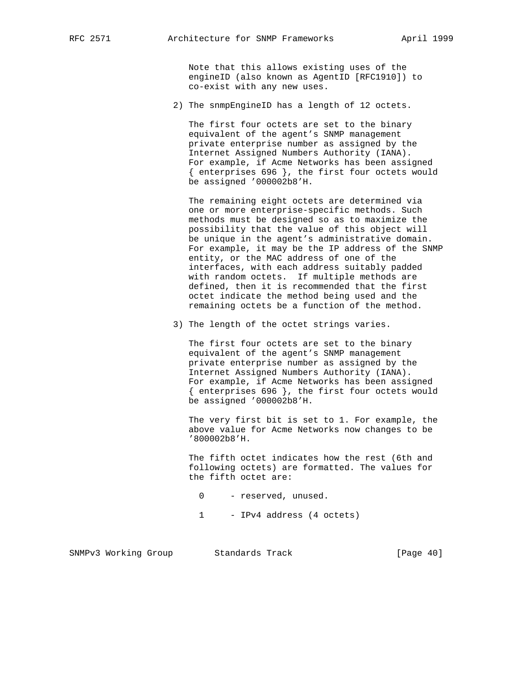Note that this allows existing uses of the engineID (also known as AgentID [RFC1910]) to co-exist with any new uses.

2) The snmpEngineID has a length of 12 octets.

 The first four octets are set to the binary equivalent of the agent's SNMP management private enterprise number as assigned by the Internet Assigned Numbers Authority (IANA). For example, if Acme Networks has been assigned { enterprises 696 }, the first four octets would be assigned '000002b8'H.

 The remaining eight octets are determined via one or more enterprise-specific methods. Such methods must be designed so as to maximize the possibility that the value of this object will be unique in the agent's administrative domain. For example, it may be the IP address of the SNMP entity, or the MAC address of one of the interfaces, with each address suitably padded with random octets. If multiple methods are defined, then it is recommended that the first octet indicate the method being used and the remaining octets be a function of the method.

3) The length of the octet strings varies.

 The first four octets are set to the binary equivalent of the agent's SNMP management private enterprise number as assigned by the Internet Assigned Numbers Authority (IANA). For example, if Acme Networks has been assigned { enterprises 696 }, the first four octets would be assigned '000002b8'H.

 The very first bit is set to 1. For example, the above value for Acme Networks now changes to be '800002b8'H.

 The fifth octet indicates how the rest (6th and following octets) are formatted. The values for the fifth octet are:

- 0 reserved, unused.
- 1 IPv4 address (4 octets)

|  | SNMPv3 Working Group |  | Standards Track |  | [Page 40] |  |  |
|--|----------------------|--|-----------------|--|-----------|--|--|
|--|----------------------|--|-----------------|--|-----------|--|--|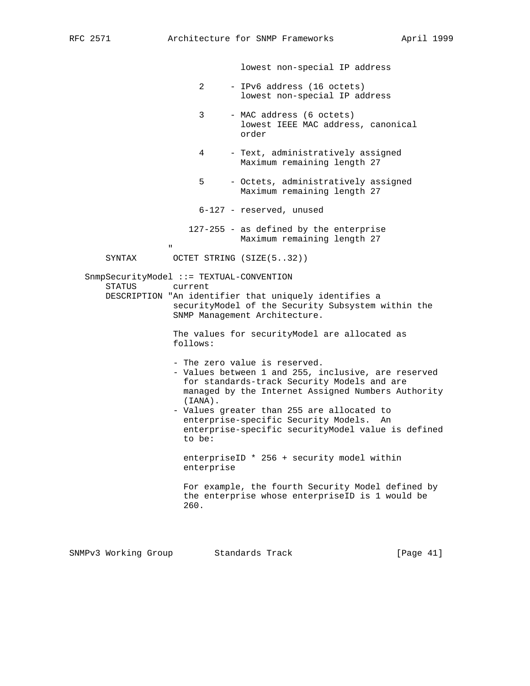lowest non-special IP address

- 2 IPv6 address (16 octets) lowest non-special IP address
- 3 MAC address (6 octets) lowest IEEE MAC address, canonical order
- 4 Text, administratively assigned Maximum remaining length 27
- 5 Octets, administratively assigned Maximum remaining length 27
- 6-127 reserved, unused
- 127-255 as defined by the enterprise Maximum remaining length 27
- " "The contract of the contract of the contract of the contract of the contract of the contract of the contract of the contract of the contract of the contract of the contract of the contract of the contract of the contrac SYNTAX OCTET STRING (SIZE(5..32))

 SnmpSecurityModel ::= TEXTUAL-CONVENTION STATUS current DESCRIPTION "An identifier that uniquely identifies a securityModel of the Security Subsystem within the SNMP Management Architecture.

> The values for securityModel are allocated as follows:

- The zero value is reserved.
- Values between 1 and 255, inclusive, are reserved for standards-track Security Models and are managed by the Internet Assigned Numbers Authority (IANA).
- Values greater than 255 are allocated to enterprise-specific Security Models. An enterprise-specific securityModel value is defined to be:

 enterpriseID \* 256 + security model within enterprise

 For example, the fourth Security Model defined by the enterprise whose enterpriseID is 1 would be 260.

|  | SNMPv3 Working Group |  | Standards Track |  | [Page 41] |  |
|--|----------------------|--|-----------------|--|-----------|--|
|--|----------------------|--|-----------------|--|-----------|--|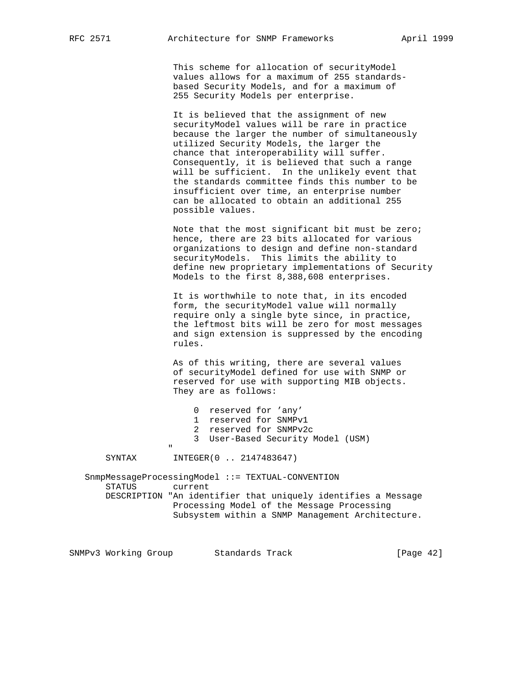This scheme for allocation of securityModel values allows for a maximum of 255 standards based Security Models, and for a maximum of 255 Security Models per enterprise.

 It is believed that the assignment of new securityModel values will be rare in practice because the larger the number of simultaneously utilized Security Models, the larger the chance that interoperability will suffer. Consequently, it is believed that such a range will be sufficient. In the unlikely event that the standards committee finds this number to be insufficient over time, an enterprise number can be allocated to obtain an additional 255 possible values.

 Note that the most significant bit must be zero; hence, there are 23 bits allocated for various organizations to design and define non-standard securityModels. This limits the ability to define new proprietary implementations of Security Models to the first 8,388,608 enterprises.

 It is worthwhile to note that, in its encoded form, the securityModel value will normally require only a single byte since, in practice, the leftmost bits will be zero for most messages and sign extension is suppressed by the encoding rules.

 As of this writing, there are several values of securityModel defined for use with SNMP or reserved for use with supporting MIB objects. They are as follows:

|   | 0 reserved for 'any'              |
|---|-----------------------------------|
|   | 1 reserved for SNMPv1             |
|   | 2 reserved for SNMPv2c            |
|   | 3 User-Based Security Model (USM) |
| ш |                                   |
|   |                                   |

SYNTAX INTEGER(0 .. 2147483647)

 SnmpMessageProcessingModel ::= TEXTUAL-CONVENTION STATUS current DESCRIPTION "An identifier that uniquely identifies a Message Processing Model of the Message Processing Subsystem within a SNMP Management Architecture.

SNMPv3 Working Group Standards Track [Page 42]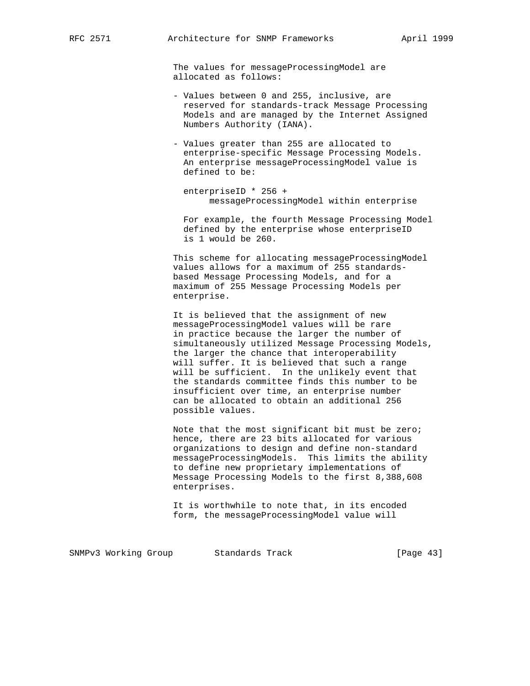The values for messageProcessingModel are allocated as follows:

- Values between 0 and 255, inclusive, are reserved for standards-track Message Processing Models and are managed by the Internet Assigned Numbers Authority (IANA).
- Values greater than 255 are allocated to enterprise-specific Message Processing Models. An enterprise messageProcessingModel value is defined to be:

 enterpriseID \* 256 + messageProcessingModel within enterprise

 For example, the fourth Message Processing Model defined by the enterprise whose enterpriseID is 1 would be 260.

 This scheme for allocating messageProcessingModel values allows for a maximum of 255 standards based Message Processing Models, and for a maximum of 255 Message Processing Models per enterprise.

 It is believed that the assignment of new messageProcessingModel values will be rare in practice because the larger the number of simultaneously utilized Message Processing Models, the larger the chance that interoperability will suffer. It is believed that such a range will be sufficient. In the unlikely event that the standards committee finds this number to be insufficient over time, an enterprise number can be allocated to obtain an additional 256 possible values.

 Note that the most significant bit must be zero; hence, there are 23 bits allocated for various organizations to design and define non-standard messageProcessingModels. This limits the ability to define new proprietary implementations of Message Processing Models to the first 8,388,608 enterprises.

 It is worthwhile to note that, in its encoded form, the messageProcessingModel value will

SNMPv3 Working Group Standards Track [Page 43]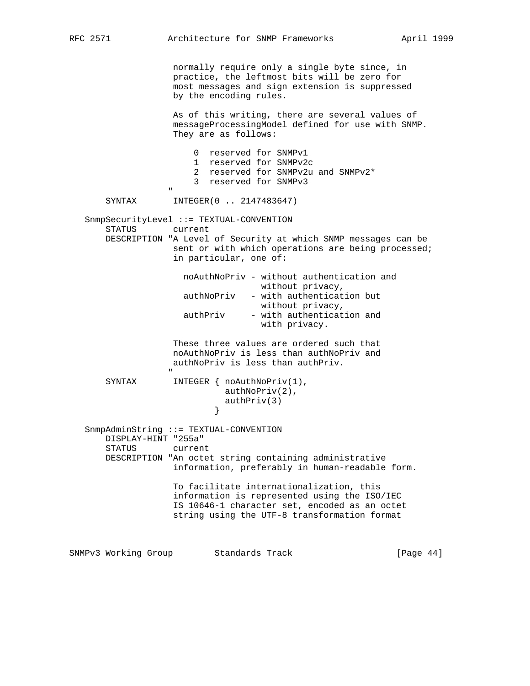```
RFC 2571 Architecture for SNMP Frameworks April 1999
                      normally require only a single byte since, in
                      practice, the leftmost bits will be zero for
                      most messages and sign extension is suppressed
                      by the encoding rules.
                      As of this writing, there are several values of
                      messageProcessingModel defined for use with SNMP.
                       They are as follows:
                           0 reserved for SNMPv1
                           1 reserved for SNMPv2c
                           2 reserved for SNMPv2u and SNMPv2*
                           3 reserved for SNMPv3
" "The contract of the contract of the contract of the contract of the contract of the contract of the contract of the contract of the contract of the contract of the contract of the contract of the contract of the contrac
        SYNTAX INTEGER(0 .. 2147483647)
    SnmpSecurityLevel ::= TEXTUAL-CONVENTION
                     current
        DESCRIPTION "A Level of Security at which SNMP messages can be
                      sent or with which operations are being processed;
                      in particular, one of:
                        noAuthNoPriv - without authentication and
                                         without privacy,
                         authNoPriv - with authentication but
                                        without privacy,
                        authPriv - with authentication and
                                         with privacy.
                      These three values are ordered such that
                      noAuthNoPriv is less than authNoPriv and
                      authNoPriv is less than authPriv.
 "
       SYNTAX INTEGER { noAuthNoPriv(1),
                                 authNoPriv(2),
                              \{\text{authPriv}(3)\} }
    SnmpAdminString ::= TEXTUAL-CONVENTION
        DISPLAY-HINT "255a"
        STATUS current
        DESCRIPTION "An octet string containing administrative
                      information, preferably in human-readable form.
                      To facilitate internationalization, this
                       information is represented using the ISO/IEC
                      IS 10646-1 character set, encoded as an octet
                      string using the UTF-8 transformation format
SNMPv3 Working Group Standards Track [Page 44]
```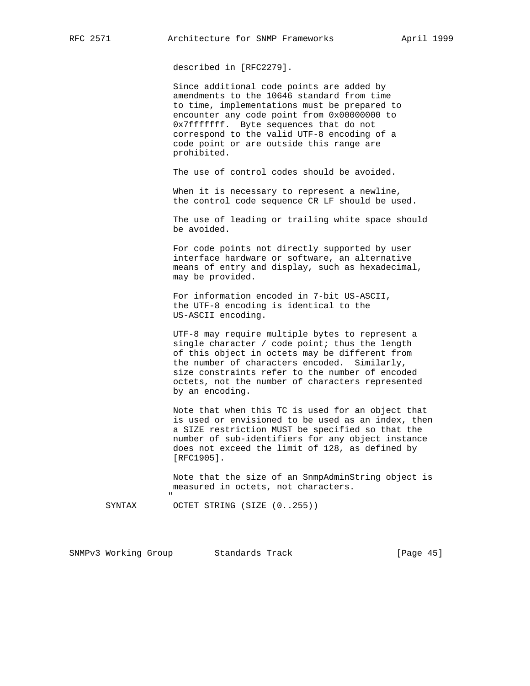described in [RFC2279].

 Since additional code points are added by amendments to the 10646 standard from time to time, implementations must be prepared to encounter any code point from 0x00000000 to 0x7fffffff. Byte sequences that do not correspond to the valid UTF-8 encoding of a code point or are outside this range are prohibited.

The use of control codes should be avoided.

When it is necessary to represent a newline, the control code sequence CR LF should be used.

 The use of leading or trailing white space should be avoided.

 For code points not directly supported by user interface hardware or software, an alternative means of entry and display, such as hexadecimal, may be provided.

 For information encoded in 7-bit US-ASCII, the UTF-8 encoding is identical to the US-ASCII encoding.

 UTF-8 may require multiple bytes to represent a single character / code point; thus the length of this object in octets may be different from the number of characters encoded. Similarly, size constraints refer to the number of encoded octets, not the number of characters represented by an encoding.

 Note that when this TC is used for an object that is used or envisioned to be used as an index, then a SIZE restriction MUST be specified so that the number of sub-identifiers for any object instance does not exceed the limit of 128, as defined by [RFC1905].

 Note that the size of an SnmpAdminString object is measured in octets, not characters.

" "The contract of the contract of the contract of the contract of the contract of the contract of the contract of the contract of the contract of the contract of the contract of the contract of the contract of the contrac

SYNTAX OCTET STRING (SIZE (0..255))

SNMPv3 Working Group Standards Track [Page 45]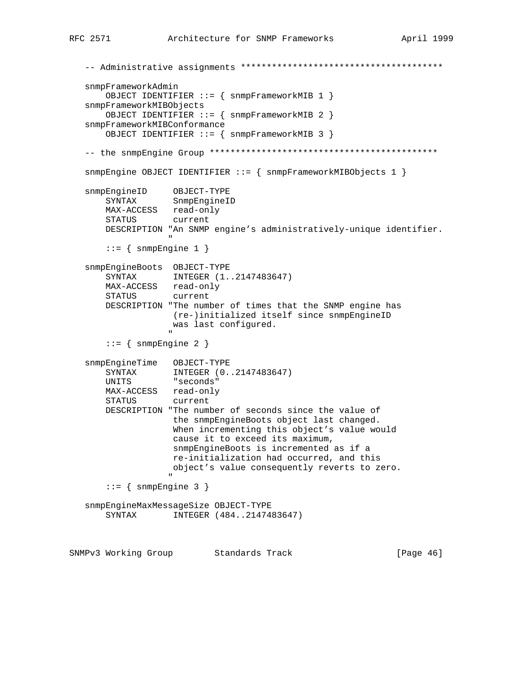```
 -- Administrative assignments ***************************************
     snmpFrameworkAdmin
          OBJECT IDENTIFIER ::= { snmpFrameworkMIB 1 }
     snmpFrameworkMIBObjects
          OBJECT IDENTIFIER ::= { snmpFrameworkMIB 2 }
     snmpFrameworkMIBConformance
          OBJECT IDENTIFIER ::= { snmpFrameworkMIB 3 }
     -- the snmpEngine Group ********************************************
     snmpEngine OBJECT IDENTIFIER ::= { snmpFrameworkMIBObjects 1 }
 snmpEngineID OBJECT-TYPE
 SYNTAX SnmpEngineID
          MAX-ACCESS read-only
          STATUS current
          DESCRIPTION "An SNMP engine's administratively-unique identifier.
" "The contract of the contract of the contract of the contract of the contract of the contract of the contract of the contract of the contract of the contract of the contract of the contract of the contract of the contrac
         ::= { snmpEngine 1 }
     snmpEngineBoots OBJECT-TYPE
          SYNTAX INTEGER (1..2147483647)
          MAX-ACCESS read-only
          STATUS current
          DESCRIPTION "The number of times that the SNMP engine has
                           (re-)initialized itself since snmpEngineID
                           was last configured.
" "The contract of the contract of the contract of the contract of the contract of the contract of the contract of the contract of the contract of the contract of the contract of the contract of the contract of the contrac
         ::= { snmpEngine 2 }
     snmpEngineTime OBJECT-TYPE
          SYNTAX INTEGER (0..2147483647)
          UNITS "seconds"
          MAX-ACCESS read-only
          STATUS current
          DESCRIPTION "The number of seconds since the value of
                            the snmpEngineBoots object last changed.
                            When incrementing this object's value would
                            cause it to exceed its maximum,
                            snmpEngineBoots is incremented as if a
                            re-initialization had occurred, and this
                            object's value consequently reverts to zero.
" "The contract of the contract of the contract of the contract of the contract of the contract of the contract of the contract of the contract of the contract of the contract of the contract of the contract of the contrac
         ::= { snmpEngine 3 }
     snmpEngineMaxMessageSize OBJECT-TYPE
          SYNTAX INTEGER (484..2147483647)
SNMPv3 Working Group Standards Track [Page 46]
```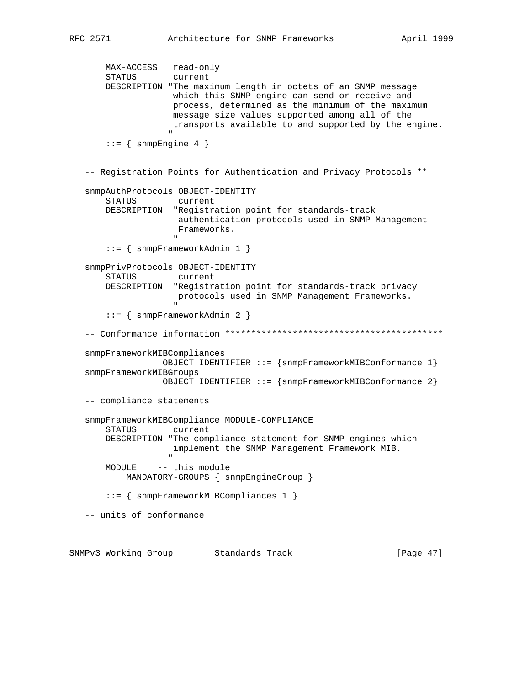MAX-ACCESS read-only STATUS current DESCRIPTION "The maximum length in octets of an SNMP message which this SNMP engine can send or receive and process, determined as the minimum of the maximum message size values supported among all of the transports available to and supported by the engine. " "The contract of the contract of the contract of the contract of the contract of the contract of the contract of the contract of the contract of the contract of the contract of the contract of the contract of the contrac  $::=$  { snmpEngine 4 } -- Registration Points for Authentication and Privacy Protocols \*\* snmpAuthProtocols OBJECT-IDENTITY STATUS current DESCRIPTION "Registration point for standards-track authentication protocols used in SNMP Management Frameworks. " ::= { snmpFrameworkAdmin 1 } snmpPrivProtocols OBJECT-IDENTITY STATUS current DESCRIPTION "Registration point for standards-track privacy protocols used in SNMP Management Frameworks. " ::= { snmpFrameworkAdmin 2 } -- Conformance information \*\*\*\*\*\*\*\*\*\*\*\*\*\*\*\*\*\*\*\*\*\*\*\*\*\*\*\*\*\*\*\*\*\*\*\*\*\*\*\*\*\* snmpFrameworkMIBCompliances OBJECT IDENTIFIER ::= {snmpFrameworkMIBConformance 1} snmpFrameworkMIBGroups OBJECT IDENTIFIER ::= {snmpFrameworkMIBConformance 2} -- compliance statements snmpFrameworkMIBCompliance MODULE-COMPLIANCE STATUS current DESCRIPTION "The compliance statement for SNMP engines which implement the SNMP Management Framework MIB. " MODULE -- this module MANDATORY-GROUPS { snmpEngineGroup } ::= { snmpFrameworkMIBCompliances 1 } -- units of conformance SNMPv3 Working Group Standards Track [Page 47]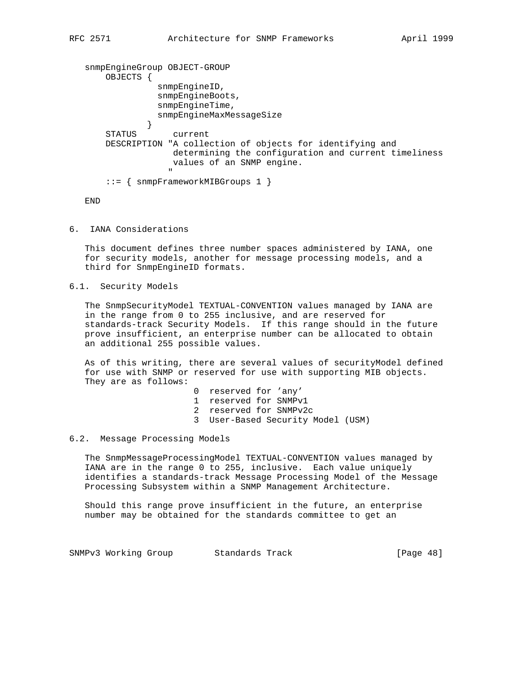```
 snmpEngineGroup OBJECT-GROUP
       OBJECTS {
                snmpEngineID,
                snmpEngineBoots,
                snmpEngineTime,
                snmpEngineMaxMessageSize
 }
       STATUS current
       DESCRIPTION "A collection of objects for identifying and
                   determining the configuration and current timeliness
                   values of an SNMP engine.
 "
       ::= { snmpFrameworkMIBGroups 1 }
```
END

6. IANA Considerations

 This document defines three number spaces administered by IANA, one for security models, another for message processing models, and a third for SnmpEngineID formats.

6.1. Security Models

 The SnmpSecurityModel TEXTUAL-CONVENTION values managed by IANA are in the range from 0 to 255 inclusive, and are reserved for standards-track Security Models. If this range should in the future prove insufficient, an enterprise number can be allocated to obtain an additional 255 possible values.

 As of this writing, there are several values of securityModel defined for use with SNMP or reserved for use with supporting MIB objects. They are as follows:

- 0 reserved for 'any'
- 1 reserved for SNMPv1
- 2 reserved for SNMPv2c
- 3 User-Based Security Model (USM)

#### 6.2. Message Processing Models

 The SnmpMessageProcessingModel TEXTUAL-CONVENTION values managed by IANA are in the range 0 to 255, inclusive. Each value uniquely identifies a standards-track Message Processing Model of the Message Processing Subsystem within a SNMP Management Architecture.

 Should this range prove insufficient in the future, an enterprise number may be obtained for the standards committee to get an

SNMPv3 Working Group Standards Track [Page 48]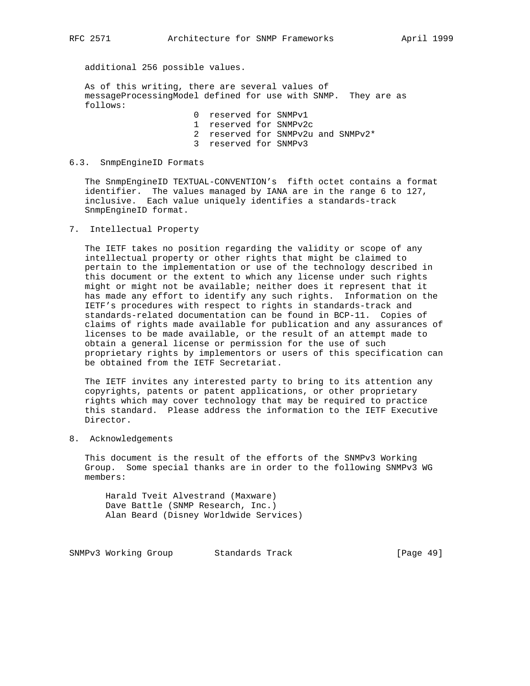additional 256 possible values.

 As of this writing, there are several values of messageProcessingModel defined for use with SNMP. They are as follows:

 0 reserved for SNMPv1 1 reserved for SNMPv2c

2 reserved for SNMPv2u and SNMPv2\*

3 reserved for SNMPv3

#### 6.3. SnmpEngineID Formats

 The SnmpEngineID TEXTUAL-CONVENTION's fifth octet contains a format identifier. The values managed by IANA are in the range 6 to 127, inclusive. Each value uniquely identifies a standards-track SnmpEngineID format.

7. Intellectual Property

 The IETF takes no position regarding the validity or scope of any intellectual property or other rights that might be claimed to pertain to the implementation or use of the technology described in this document or the extent to which any license under such rights might or might not be available; neither does it represent that it has made any effort to identify any such rights. Information on the IETF's procedures with respect to rights in standards-track and standards-related documentation can be found in BCP-11. Copies of claims of rights made available for publication and any assurances of licenses to be made available, or the result of an attempt made to obtain a general license or permission for the use of such proprietary rights by implementors or users of this specification can be obtained from the IETF Secretariat.

 The IETF invites any interested party to bring to its attention any copyrights, patents or patent applications, or other proprietary rights which may cover technology that may be required to practice this standard. Please address the information to the IETF Executive Director.

8. Acknowledgements

 This document is the result of the efforts of the SNMPv3 Working Group. Some special thanks are in order to the following SNMPv3 WG members:

 Harald Tveit Alvestrand (Maxware) Dave Battle (SNMP Research, Inc.) Alan Beard (Disney Worldwide Services)

SNMPv3 Working Group Standards Track [Page 49]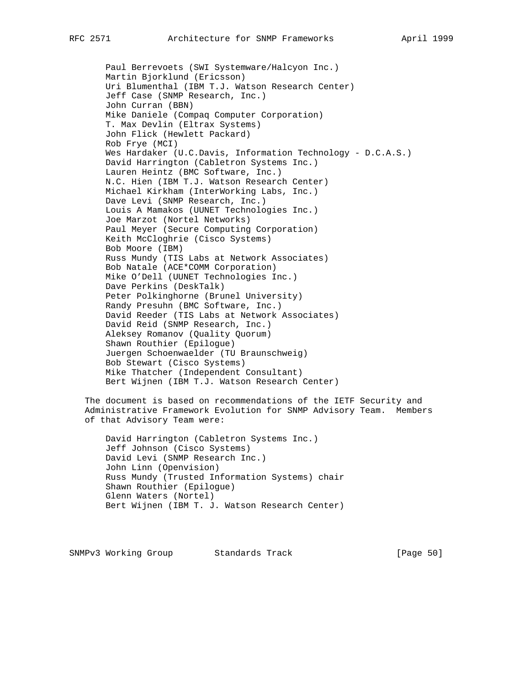Paul Berrevoets (SWI Systemware/Halcyon Inc.) Martin Bjorklund (Ericsson) Uri Blumenthal (IBM T.J. Watson Research Center) Jeff Case (SNMP Research, Inc.) John Curran (BBN) Mike Daniele (Compaq Computer Corporation) T. Max Devlin (Eltrax Systems) John Flick (Hewlett Packard) Rob Frye (MCI) Wes Hardaker (U.C.Davis, Information Technology - D.C.A.S.) David Harrington (Cabletron Systems Inc.) Lauren Heintz (BMC Software, Inc.) N.C. Hien (IBM T.J. Watson Research Center) Michael Kirkham (InterWorking Labs, Inc.) Dave Levi (SNMP Research, Inc.) Louis A Mamakos (UUNET Technologies Inc.) Joe Marzot (Nortel Networks) Paul Meyer (Secure Computing Corporation) Keith McCloghrie (Cisco Systems) Bob Moore (IBM) Russ Mundy (TIS Labs at Network Associates) Bob Natale (ACE\*COMM Corporation) Mike O'Dell (UUNET Technologies Inc.) Dave Perkins (DeskTalk) Peter Polkinghorne (Brunel University) Randy Presuhn (BMC Software, Inc.) David Reeder (TIS Labs at Network Associates) David Reid (SNMP Research, Inc.) Aleksey Romanov (Quality Quorum) Shawn Routhier (Epilogue) Juergen Schoenwaelder (TU Braunschweig) Bob Stewart (Cisco Systems) Mike Thatcher (Independent Consultant) Bert Wijnen (IBM T.J. Watson Research Center)

 The document is based on recommendations of the IETF Security and Administrative Framework Evolution for SNMP Advisory Team. Members of that Advisory Team were:

 David Harrington (Cabletron Systems Inc.) Jeff Johnson (Cisco Systems) David Levi (SNMP Research Inc.) John Linn (Openvision) Russ Mundy (Trusted Information Systems) chair Shawn Routhier (Epilogue) Glenn Waters (Nortel) Bert Wijnen (IBM T. J. Watson Research Center)

SNMPv3 Working Group Standards Track [Page 50]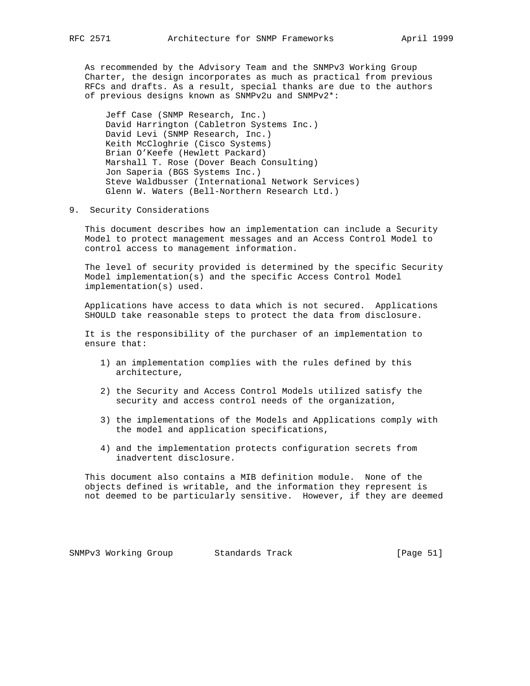As recommended by the Advisory Team and the SNMPv3 Working Group Charter, the design incorporates as much as practical from previous RFCs and drafts. As a result, special thanks are due to the authors of previous designs known as SNMPv2u and SNMPv2\*:

 Jeff Case (SNMP Research, Inc.) David Harrington (Cabletron Systems Inc.) David Levi (SNMP Research, Inc.) Keith McCloghrie (Cisco Systems) Brian O'Keefe (Hewlett Packard) Marshall T. Rose (Dover Beach Consulting) Jon Saperia (BGS Systems Inc.) Steve Waldbusser (International Network Services) Glenn W. Waters (Bell-Northern Research Ltd.)

9. Security Considerations

 This document describes how an implementation can include a Security Model to protect management messages and an Access Control Model to control access to management information.

 The level of security provided is determined by the specific Security Model implementation(s) and the specific Access Control Model implementation(s) used.

 Applications have access to data which is not secured. Applications SHOULD take reasonable steps to protect the data from disclosure.

 It is the responsibility of the purchaser of an implementation to ensure that:

- 1) an implementation complies with the rules defined by this architecture,
- 2) the Security and Access Control Models utilized satisfy the security and access control needs of the organization,
- 3) the implementations of the Models and Applications comply with the model and application specifications,
- 4) and the implementation protects configuration secrets from inadvertent disclosure.

 This document also contains a MIB definition module. None of the objects defined is writable, and the information they represent is not deemed to be particularly sensitive. However, if they are deemed

SNMPv3 Working Group Standards Track [Page 51]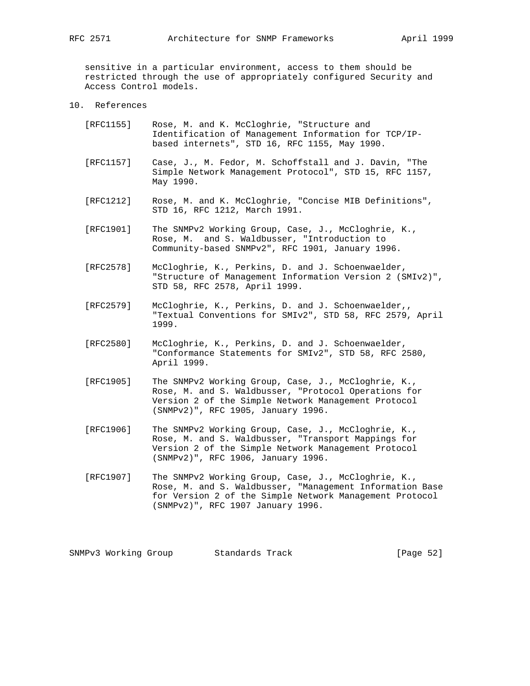sensitive in a particular environment, access to them should be restricted through the use of appropriately configured Security and Access Control models.

10. References

| [RFC1155] | Rose, M. and K. McCloghrie, "Structure and           |
|-----------|------------------------------------------------------|
|           | Identification of Management Information for TCP/IP- |
|           | based internets", STD 16, RFC 1155, May 1990.        |

- [RFC1157] Case, J., M. Fedor, M. Schoffstall and J. Davin, "The Simple Network Management Protocol", STD 15, RFC 1157, May 1990.
- [RFC1212] Rose, M. and K. McCloghrie, "Concise MIB Definitions", STD 16, RFC 1212, March 1991.
- [RFC1901] The SNMPv2 Working Group, Case, J., McCloghrie, K., Rose, M. and S. Waldbusser, "Introduction to Community-based SNMPv2", RFC 1901, January 1996.
- [RFC2578] McCloghrie, K., Perkins, D. and J. Schoenwaelder, "Structure of Management Information Version 2 (SMIv2)", STD 58, RFC 2578, April 1999.
- [RFC2579] McCloghrie, K., Perkins, D. and J. Schoenwaelder,, "Textual Conventions for SMIv2", STD 58, RFC 2579, April 1999.
- [RFC2580] McCloghrie, K., Perkins, D. and J. Schoenwaelder, "Conformance Statements for SMIv2", STD 58, RFC 2580, April 1999.
- [RFC1905] The SNMPv2 Working Group, Case, J., McCloghrie, K., Rose, M. and S. Waldbusser, "Protocol Operations for Version 2 of the Simple Network Management Protocol (SNMPv2)", RFC 1905, January 1996.
- [RFC1906] The SNMPv2 Working Group, Case, J., McCloghrie, K., Rose, M. and S. Waldbusser, "Transport Mappings for Version 2 of the Simple Network Management Protocol (SNMPv2)", RFC 1906, January 1996.
- [RFC1907] The SNMPv2 Working Group, Case, J., McCloghrie, K., Rose, M. and S. Waldbusser, "Management Information Base for Version 2 of the Simple Network Management Protocol (SNMPv2)", RFC 1907 January 1996.

SNMPv3 Working Group Standards Track [Page 52]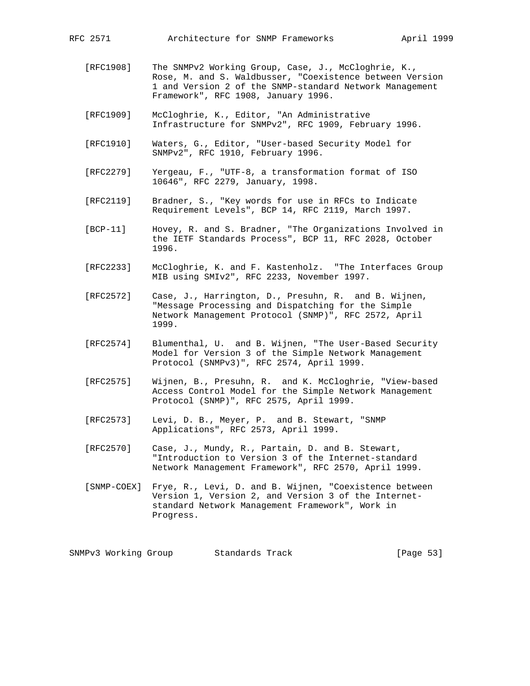- [RFC1908] The SNMPv2 Working Group, Case, J., McCloghrie, K., Rose, M. and S. Waldbusser, "Coexistence between Version 1 and Version 2 of the SNMP-standard Network Management Framework", RFC 1908, January 1996.
- [RFC1909] McCloghrie, K., Editor, "An Administrative Infrastructure for SNMPv2", RFC 1909, February 1996.
- [RFC1910] Waters, G., Editor, "User-based Security Model for SNMPv2", RFC 1910, February 1996.
- [RFC2279] Yergeau, F., "UTF-8, a transformation format of ISO 10646", RFC 2279, January, 1998.
- [RFC2119] Bradner, S., "Key words for use in RFCs to Indicate Requirement Levels", BCP 14, RFC 2119, March 1997.
- [BCP-11] Hovey, R. and S. Bradner, "The Organizations Involved in the IETF Standards Process", BCP 11, RFC 2028, October 1996.
- [RFC2233] McCloghrie, K. and F. Kastenholz. "The Interfaces Group MIB using SMIv2", RFC 2233, November 1997.
- [RFC2572] Case, J., Harrington, D., Presuhn, R. and B. Wijnen, "Message Processing and Dispatching for the Simple Network Management Protocol (SNMP)", RFC 2572, April 1999.
- [RFC2574] Blumenthal, U. and B. Wijnen, "The User-Based Security Model for Version 3 of the Simple Network Management Protocol (SNMPv3)", RFC 2574, April 1999.
- [RFC2575] Wijnen, B., Presuhn, R. and K. McCloghrie, "View-based Access Control Model for the Simple Network Management Protocol (SNMP)", RFC 2575, April 1999.
- [RFC2573] Levi, D. B., Meyer, P. and B. Stewart, "SNMP Applications", RFC 2573, April 1999.
- [RFC2570] Case, J., Mundy, R., Partain, D. and B. Stewart, "Introduction to Version 3 of the Internet-standard Network Management Framework", RFC 2570, April 1999.
- [SNMP-COEX] Frye, R., Levi, D. and B. Wijnen, "Coexistence between Version 1, Version 2, and Version 3 of the Internet standard Network Management Framework", Work in Progress.

SNMPv3 Working Group Standards Track [Page 53]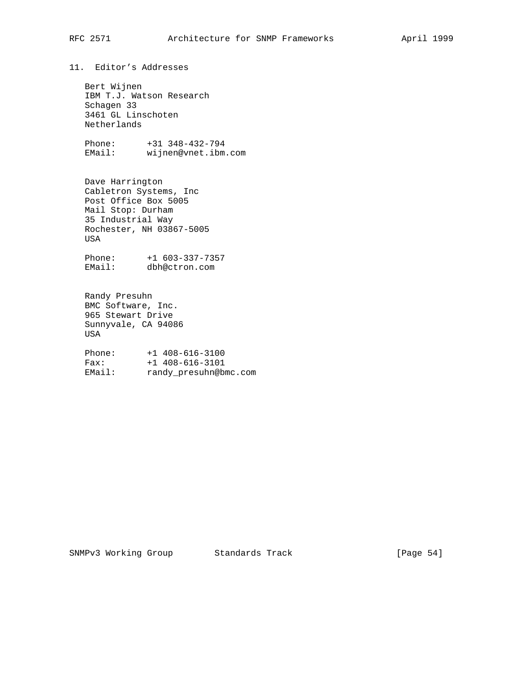11. Editor's Addresses

 Bert Wijnen IBM T.J. Watson Research Schagen 33 3461 GL Linschoten Netherlands

 Phone: +31 348-432-794 EMail: wijnen@vnet.ibm.com

 Dave Harrington Cabletron Systems, Inc Post Office Box 5005 Mail Stop: Durham 35 Industrial Way Rochester, NH 03867-5005 USA

 Phone: +1 603-337-7357 EMail: dbh@ctron.com

 Randy Presuhn BMC Software, Inc. 965 Stewart Drive Sunnyvale, CA 94086 USA

 Phone: +1 408-616-3100 Fax: +1 408-616-3101 EMail: randy\_presuhn@bmc.com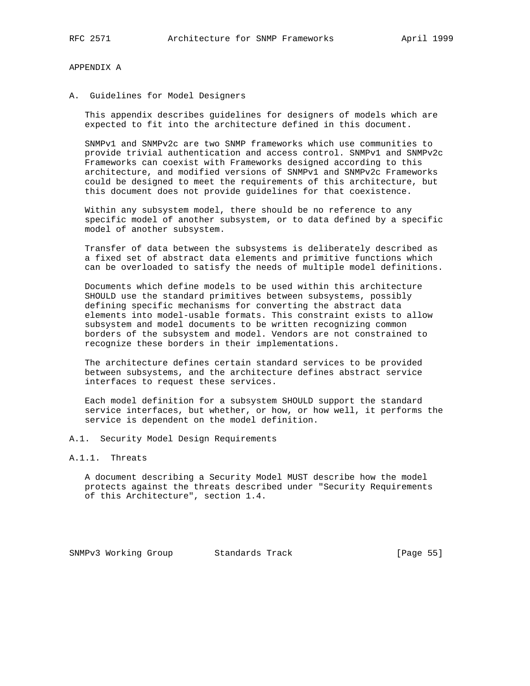#### APPENDIX A

A. Guidelines for Model Designers

 This appendix describes guidelines for designers of models which are expected to fit into the architecture defined in this document.

 SNMPv1 and SNMPv2c are two SNMP frameworks which use communities to provide trivial authentication and access control. SNMPv1 and SNMPv2c Frameworks can coexist with Frameworks designed according to this architecture, and modified versions of SNMPv1 and SNMPv2c Frameworks could be designed to meet the requirements of this architecture, but this document does not provide guidelines for that coexistence.

 Within any subsystem model, there should be no reference to any specific model of another subsystem, or to data defined by a specific model of another subsystem.

 Transfer of data between the subsystems is deliberately described as a fixed set of abstract data elements and primitive functions which can be overloaded to satisfy the needs of multiple model definitions.

 Documents which define models to be used within this architecture SHOULD use the standard primitives between subsystems, possibly defining specific mechanisms for converting the abstract data elements into model-usable formats. This constraint exists to allow subsystem and model documents to be written recognizing common borders of the subsystem and model. Vendors are not constrained to recognize these borders in their implementations.

 The architecture defines certain standard services to be provided between subsystems, and the architecture defines abstract service interfaces to request these services.

 Each model definition for a subsystem SHOULD support the standard service interfaces, but whether, or how, or how well, it performs the service is dependent on the model definition.

- A.1. Security Model Design Requirements
- A.1.1. Threats

 A document describing a Security Model MUST describe how the model protects against the threats described under "Security Requirements of this Architecture", section 1.4.

SNMPv3 Working Group Standards Track [Page 55]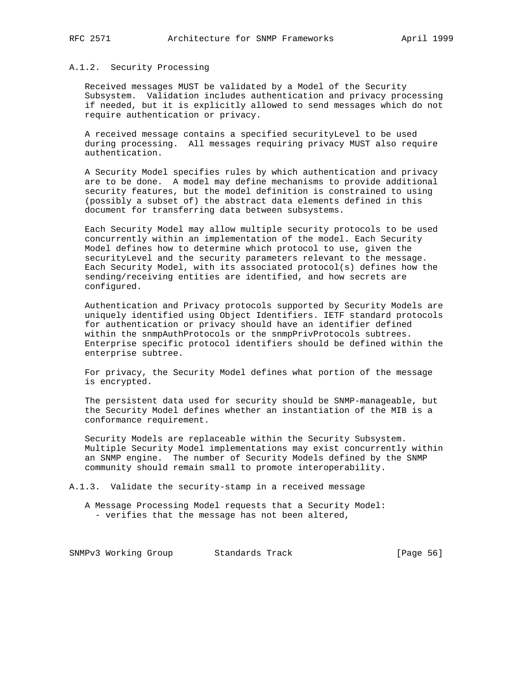#### A.1.2. Security Processing

 Received messages MUST be validated by a Model of the Security Subsystem. Validation includes authentication and privacy processing if needed, but it is explicitly allowed to send messages which do not require authentication or privacy.

 A received message contains a specified securityLevel to be used during processing. All messages requiring privacy MUST also require authentication.

 A Security Model specifies rules by which authentication and privacy are to be done. A model may define mechanisms to provide additional security features, but the model definition is constrained to using (possibly a subset of) the abstract data elements defined in this document for transferring data between subsystems.

 Each Security Model may allow multiple security protocols to be used concurrently within an implementation of the model. Each Security Model defines how to determine which protocol to use, given the securityLevel and the security parameters relevant to the message. Each Security Model, with its associated protocol(s) defines how the sending/receiving entities are identified, and how secrets are configured.

 Authentication and Privacy protocols supported by Security Models are uniquely identified using Object Identifiers. IETF standard protocols for authentication or privacy should have an identifier defined within the snmpAuthProtocols or the snmpPrivProtocols subtrees. Enterprise specific protocol identifiers should be defined within the enterprise subtree.

 For privacy, the Security Model defines what portion of the message is encrypted.

 The persistent data used for security should be SNMP-manageable, but the Security Model defines whether an instantiation of the MIB is a conformance requirement.

 Security Models are replaceable within the Security Subsystem. Multiple Security Model implementations may exist concurrently within an SNMP engine. The number of Security Models defined by the SNMP community should remain small to promote interoperability.

A.1.3. Validate the security-stamp in a received message

 A Message Processing Model requests that a Security Model: - verifies that the message has not been altered,

SNMPv3 Working Group Standards Track [Page 56]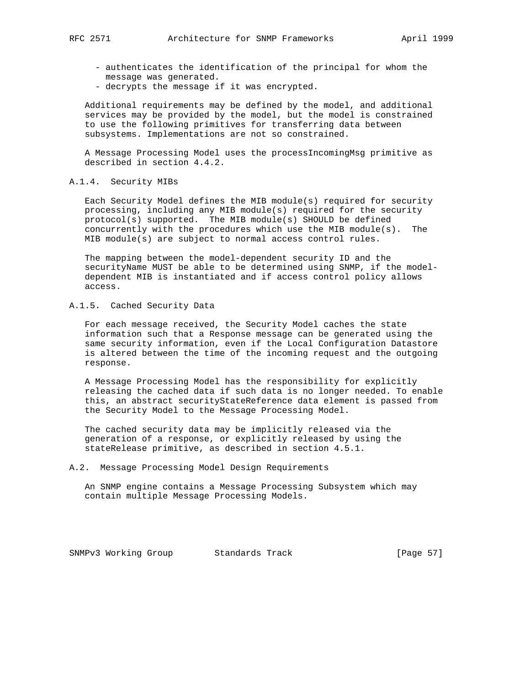- authenticates the identification of the principal for whom the message was generated.
- decrypts the message if it was encrypted.

 Additional requirements may be defined by the model, and additional services may be provided by the model, but the model is constrained to use the following primitives for transferring data between subsystems. Implementations are not so constrained.

 A Message Processing Model uses the processIncomingMsg primitive as described in section 4.4.2.

#### A.1.4. Security MIBs

 Each Security Model defines the MIB module(s) required for security processing, including any MIB module(s) required for the security protocol(s) supported. The MIB module(s) SHOULD be defined concurrently with the procedures which use the MIB module(s). The MIB module(s) are subject to normal access control rules.

 The mapping between the model-dependent security ID and the securityName MUST be able to be determined using SNMP, if the model dependent MIB is instantiated and if access control policy allows access.

#### A.1.5. Cached Security Data

 For each message received, the Security Model caches the state information such that a Response message can be generated using the same security information, even if the Local Configuration Datastore is altered between the time of the incoming request and the outgoing response.

 A Message Processing Model has the responsibility for explicitly releasing the cached data if such data is no longer needed. To enable this, an abstract securityStateReference data element is passed from the Security Model to the Message Processing Model.

 The cached security data may be implicitly released via the generation of a response, or explicitly released by using the stateRelease primitive, as described in section 4.5.1.

#### A.2. Message Processing Model Design Requirements

 An SNMP engine contains a Message Processing Subsystem which may contain multiple Message Processing Models.

SNMPv3 Working Group Standards Track [Page 57]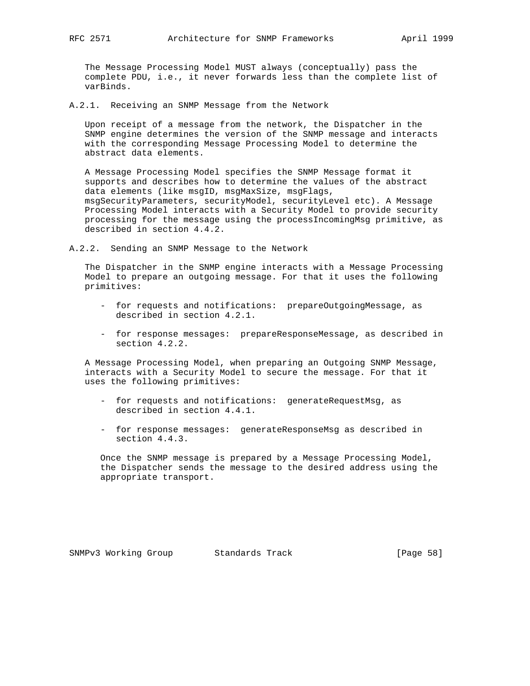The Message Processing Model MUST always (conceptually) pass the complete PDU, i.e., it never forwards less than the complete list of varBinds.

A.2.1. Receiving an SNMP Message from the Network

 Upon receipt of a message from the network, the Dispatcher in the SNMP engine determines the version of the SNMP message and interacts with the corresponding Message Processing Model to determine the abstract data elements.

 A Message Processing Model specifies the SNMP Message format it supports and describes how to determine the values of the abstract data elements (like msgID, msgMaxSize, msgFlags, msgSecurityParameters, securityModel, securityLevel etc). A Message Processing Model interacts with a Security Model to provide security processing for the message using the processIncomingMsg primitive, as described in section 4.4.2.

A.2.2. Sending an SNMP Message to the Network

 The Dispatcher in the SNMP engine interacts with a Message Processing Model to prepare an outgoing message. For that it uses the following primitives:

- for requests and notifications: prepareOutgoingMessage, as described in section 4.2.1.
- for response messages: prepareResponseMessage, as described in section 4.2.2.

 A Message Processing Model, when preparing an Outgoing SNMP Message, interacts with a Security Model to secure the message. For that it uses the following primitives:

- for requests and notifications: generateRequestMsg, as described in section 4.4.1.
- for response messages: generateResponseMsg as described in section 4.4.3.

 Once the SNMP message is prepared by a Message Processing Model, the Dispatcher sends the message to the desired address using the appropriate transport.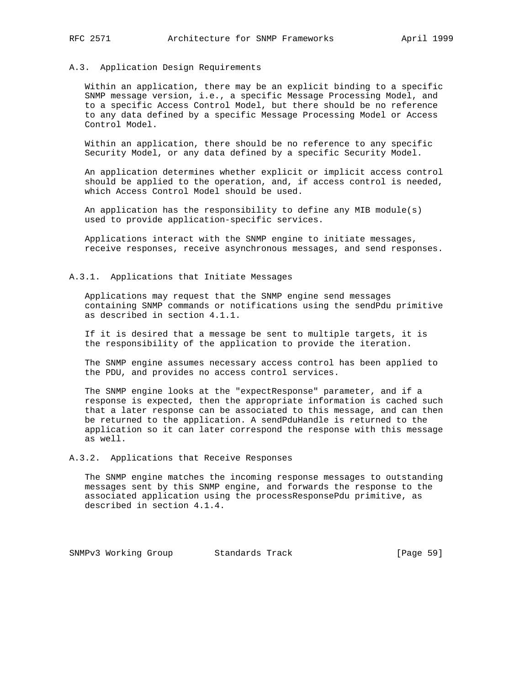#### A.3. Application Design Requirements

 Within an application, there may be an explicit binding to a specific SNMP message version, i.e., a specific Message Processing Model, and to a specific Access Control Model, but there should be no reference to any data defined by a specific Message Processing Model or Access Control Model.

 Within an application, there should be no reference to any specific Security Model, or any data defined by a specific Security Model.

 An application determines whether explicit or implicit access control should be applied to the operation, and, if access control is needed, which Access Control Model should be used.

 An application has the responsibility to define any MIB module(s) used to provide application-specific services.

 Applications interact with the SNMP engine to initiate messages, receive responses, receive asynchronous messages, and send responses.

#### A.3.1. Applications that Initiate Messages

 Applications may request that the SNMP engine send messages containing SNMP commands or notifications using the sendPdu primitive as described in section 4.1.1.

 If it is desired that a message be sent to multiple targets, it is the responsibility of the application to provide the iteration.

 The SNMP engine assumes necessary access control has been applied to the PDU, and provides no access control services.

 The SNMP engine looks at the "expectResponse" parameter, and if a response is expected, then the appropriate information is cached such that a later response can be associated to this message, and can then be returned to the application. A sendPduHandle is returned to the application so it can later correspond the response with this message as well.

A.3.2. Applications that Receive Responses

 The SNMP engine matches the incoming response messages to outstanding messages sent by this SNMP engine, and forwards the response to the associated application using the processResponsePdu primitive, as described in section 4.1.4.

SNMPv3 Working Group Standards Track [Page 59]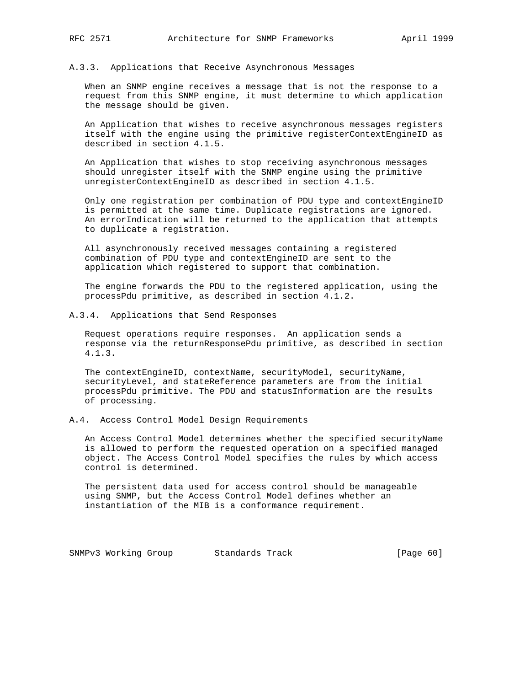#### A.3.3. Applications that Receive Asynchronous Messages

 When an SNMP engine receives a message that is not the response to a request from this SNMP engine, it must determine to which application the message should be given.

 An Application that wishes to receive asynchronous messages registers itself with the engine using the primitive registerContextEngineID as described in section 4.1.5.

 An Application that wishes to stop receiving asynchronous messages should unregister itself with the SNMP engine using the primitive unregisterContextEngineID as described in section 4.1.5.

 Only one registration per combination of PDU type and contextEngineID is permitted at the same time. Duplicate registrations are ignored. An errorIndication will be returned to the application that attempts to duplicate a registration.

 All asynchronously received messages containing a registered combination of PDU type and contextEngineID are sent to the application which registered to support that combination.

 The engine forwards the PDU to the registered application, using the processPdu primitive, as described in section 4.1.2.

A.3.4. Applications that Send Responses

 Request operations require responses. An application sends a response via the returnResponsePdu primitive, as described in section 4.1.3.

 The contextEngineID, contextName, securityModel, securityName, securityLevel, and stateReference parameters are from the initial processPdu primitive. The PDU and statusInformation are the results of processing.

#### A.4. Access Control Model Design Requirements

 An Access Control Model determines whether the specified securityName is allowed to perform the requested operation on a specified managed object. The Access Control Model specifies the rules by which access control is determined.

 The persistent data used for access control should be manageable using SNMP, but the Access Control Model defines whether an instantiation of the MIB is a conformance requirement.

SNMPv3 Working Group Standards Track [Page 60]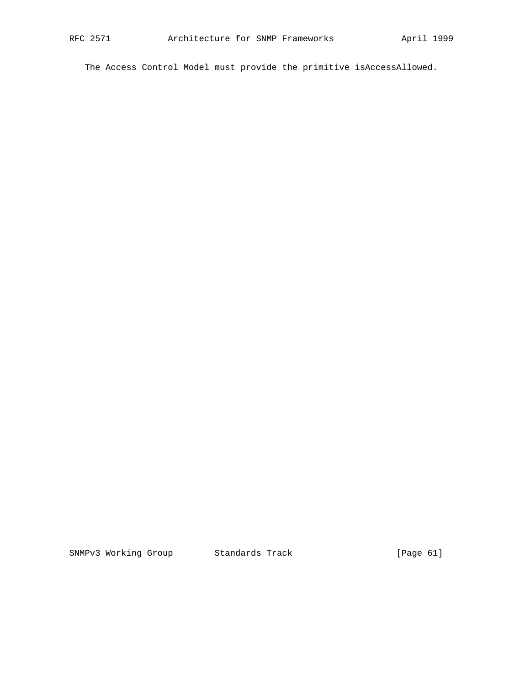The Access Control Model must provide the primitive isAccessAllowed.

SNMPv3 Working Group Standards Track [Page 61]